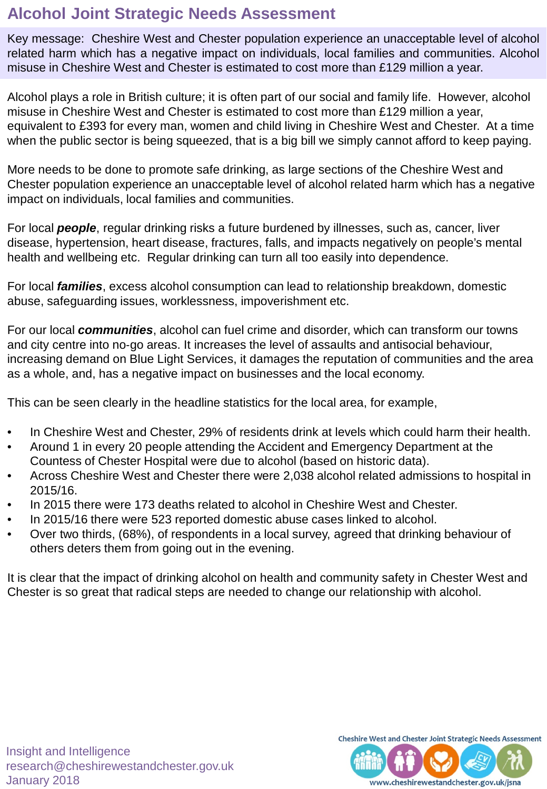## **Alcohol Joint Strategic Needs Assessment**

Key message: Cheshire West and Chester population experience an unacceptable level of alcohol related harm which has a negative impact on individuals, local families and communities. Alcohol misuse in Cheshire West and Chester is estimated to cost more than £129 million a year.

Alcohol plays a role in British culture; it is often part of our social and family life. However, alcohol misuse in Cheshire West and Chester is estimated to cost more than £129 million a year, equivalent to £393 for every man, women and child living in Cheshire West and Chester. At a time when the public sector is being squeezed, that is a big bill we simply cannot afford to keep paying.

More needs to be done to promote safe drinking, as large sections of the Cheshire West and Chester population experience an unacceptable level of alcohol related harm which has a negative impact on individuals, local families and communities.

For local *people*, regular drinking risks a future burdened by illnesses, such as, cancer, liver disease, hypertension, heart disease, fractures, falls, and impacts negatively on people's mental health and wellbeing etc. Regular drinking can turn all too easily into dependence.

For local *families*, excess alcohol consumption can lead to relationship breakdown, domestic abuse, safeguarding issues, worklessness, impoverishment etc.

For our local *communities*, alcohol can fuel crime and disorder, which can transform our towns and city centre into no‐go areas. It increases the level of assaults and antisocial behaviour, increasing demand on Blue Light Services, it damages the reputation of communities and the area as a whole, and, has a negative impact on businesses and the local economy.

This can be seen clearly in the headline statistics for the local area, for example,

- In Cheshire West and Chester, 29% of residents drink at levels which could harm their health.
- Around 1 in every 20 people attending the Accident and Emergency Department at the Countess of Chester Hospital were due to alcohol (based on historic data).
- Across Cheshire West and Chester there were 2,038 alcohol related admissions to hospital in 2015/16.
- In 2015 there were 173 deaths related to alcohol in Cheshire West and Chester.
- In 2015/16 there were 523 reported domestic abuse cases linked to alcohol.
- Over two thirds, (68%), of respondents in a local survey, agreed that drinking behaviour of others deters them from going out in the evening.

It is clear that the impact of drinking alcohol on health and community safety in Chester West and Chester is so great that radical steps are needed to change our relationship with alcohol.

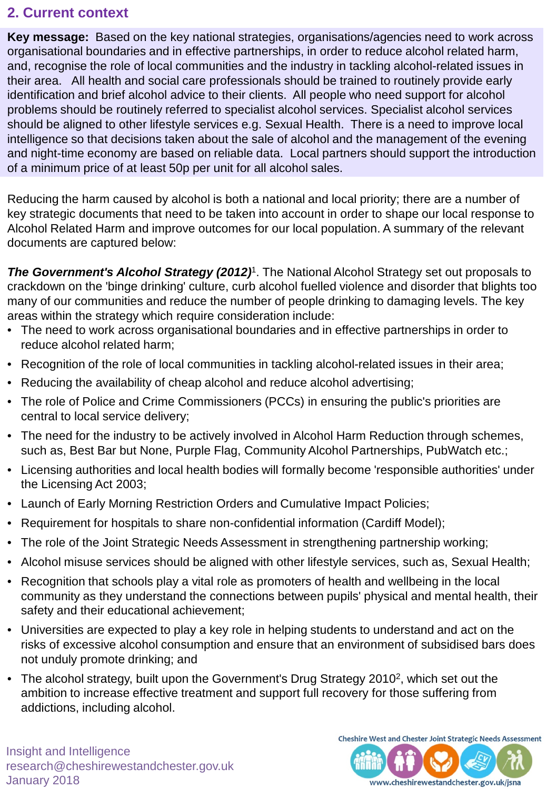## **2. Current context**

**Key message:** Based on the key national strategies, organisations/agencies need to work across organisational boundaries and in effective partnerships, in order to reduce alcohol related harm, and, recognise the role of local communities and the industry in tackling alcohol-related issues in their area. All health and social care professionals should be trained to routinely provide early identification and brief alcohol advice to their clients. All people who need support for alcohol problems should be routinely referred to specialist alcohol services. Specialist alcohol services should be aligned to other lifestyle services e.g. Sexual Health. There is a need to improve local intelligence so that decisions taken about the sale of alcohol and the management of the evening and night-time economy are based on reliable data. Local partners should support the introduction of a minimum price of at least 50p per unit for all alcohol sales.

Reducing the harm caused by alcohol is both a national and local priority; there are a number of key strategic documents that need to be taken into account in order to shape our local response to Alcohol Related Harm and improve outcomes for our local population. A summary of the relevant documents are captured below:

**The Government's Alcohol Strategy (2012)<sup>1</sup>**. The National Alcohol Strategy set out proposals to crackdown on the 'binge drinking' culture, curb alcohol fuelled violence and disorder that blights too many of our communities and reduce the number of people drinking to damaging levels. The key areas within the strategy which require consideration include:

- The need to work across organisational boundaries and in effective partnerships in order to reduce alcohol related harm;
- Recognition of the role of local communities in tackling alcohol-related issues in their area;
- Reducing the availability of cheap alcohol and reduce alcohol advertising;
- The role of Police and Crime Commissioners (PCCs) in ensuring the public's priorities are central to local service delivery;
- The need for the industry to be actively involved in Alcohol Harm Reduction through schemes, such as, Best Bar but None, Purple Flag, Community Alcohol Partnerships, PubWatch etc.;
- Licensing authorities and local health bodies will formally become 'responsible authorities' under the Licensing Act 2003;
- Launch of Early Morning Restriction Orders and Cumulative Impact Policies;
- Requirement for hospitals to share non-confidential information (Cardiff Model);
- The role of the Joint Strategic Needs Assessment in strengthening partnership working;
- Alcohol misuse services should be aligned with other lifestyle services, such as, Sexual Health;
- Recognition that schools play a vital role as promoters of health and wellbeing in the local community as they understand the connections between pupils' physical and mental health, their safety and their educational achievement;
- Universities are expected to play a key role in helping students to understand and act on the risks of excessive alcohol consumption and ensure that an environment of subsidised bars does not unduly promote drinking; and
- The alcohol strategy, built upon the Government's Drug Strategy 2010<sup>2</sup>, which set out the ambition to increase effective treatment and support full recovery for those suffering from addictions, including alcohol.



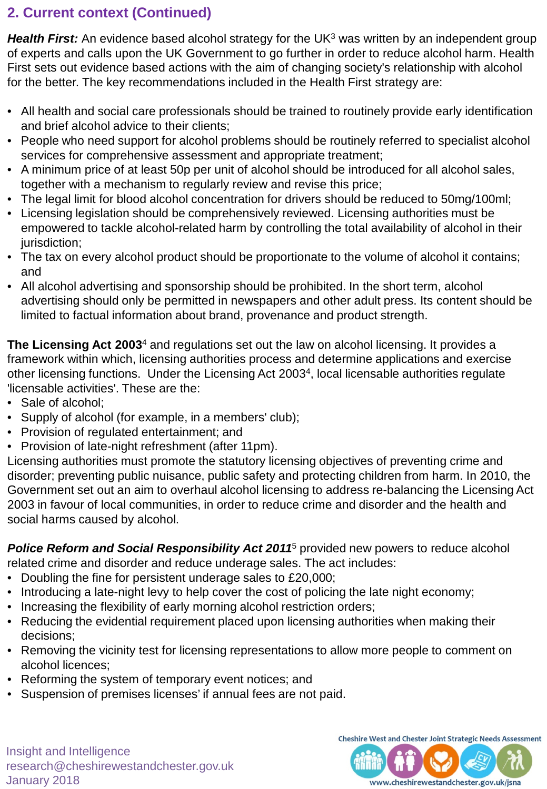## **2. Current context (Continued)**

**Health First:** An evidence based alcohol strategy for the UK<sup>3</sup> was written by an independent group of experts and calls upon the UK Government to go further in order to reduce alcohol harm. Health First sets out evidence based actions with the aim of changing society's relationship with alcohol for the better. The key recommendations included in the Health First strategy are:

- All health and social care professionals should be trained to routinely provide early identification and brief alcohol advice to their clients;
- People who need support for alcohol problems should be routinely referred to specialist alcohol services for comprehensive assessment and appropriate treatment;
- A minimum price of at least 50p per unit of alcohol should be introduced for all alcohol sales, together with a mechanism to regularly review and revise this price;
- The legal limit for blood alcohol concentration for drivers should be reduced to 50mg/100ml;
- Licensing legislation should be comprehensively reviewed. Licensing authorities must be empowered to tackle alcohol-related harm by controlling the total availability of alcohol in their jurisdiction;
- The tax on every alcohol product should be proportionate to the volume of alcohol it contains; and
- All alcohol advertising and sponsorship should be prohibited. In the short term, alcohol advertising should only be permitted in newspapers and other adult press. Its content should be limited to factual information about brand, provenance and product strength.

**The Licensing Act 2003**<sup>4</sup> and regulations set out the law on alcohol licensing. It provides a framework within which, licensing authorities process and determine applications and exercise other licensing functions. Under the Licensing Act 2003<sup>4</sup>, local licensable authorities regulate 'licensable activities'. These are the:

- Sale of alcohol:
- Supply of alcohol (for example, in a members' club);
- Provision of regulated entertainment; and
- Provision of late-night refreshment (after 11pm).

Licensing authorities must promote the statutory licensing objectives of preventing crime and disorder; preventing public nuisance, public safety and protecting children from harm. In 2010, the Government set out an aim to overhaul alcohol licensing to address re-balancing the Licensing Act 2003 in favour of local communities, in order to reduce crime and disorder and the health and social harms caused by alcohol.

*Police Reform and Social Responsibility Act 2011*<sup>5</sup> provided new powers to reduce alcohol related crime and disorder and reduce underage sales. The act includes:

- Doubling the fine for persistent underage sales to £20,000;
- Introducing a late-night levy to help cover the cost of policing the late night economy;
- Increasing the flexibility of early morning alcohol restriction orders;
- Reducing the evidential requirement placed upon licensing authorities when making their decisions;
- Removing the vicinity test for licensing representations to allow more people to comment on alcohol licences;
- Reforming the system of temporary event notices; and
- Suspension of premises licenses' if annual fees are not paid.



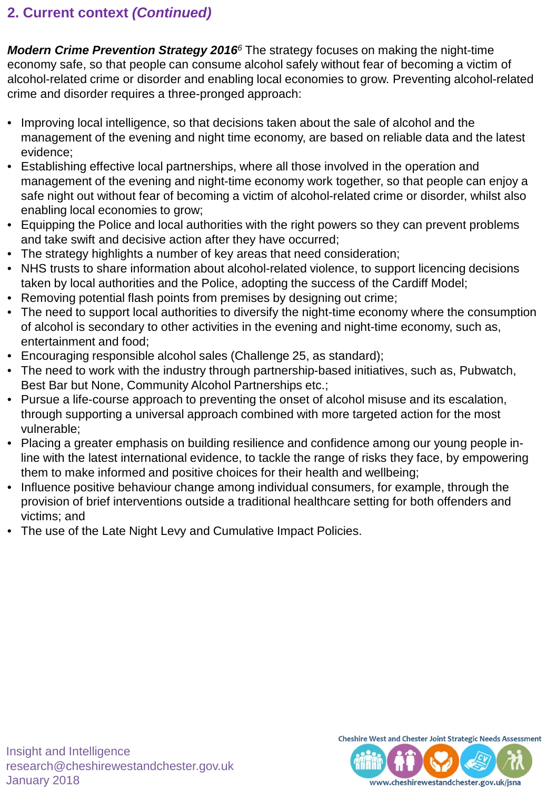## **2. Current context** *(Continued)*

*Modern Crime Prevention Strategy 2016<sup>6</sup>* The strategy focuses on making the night-time economy safe, so that people can consume alcohol safely without fear of becoming a victim of alcohol-related crime or disorder and enabling local economies to grow. Preventing alcohol-related crime and disorder requires a three-pronged approach:

- Improving local intelligence, so that decisions taken about the sale of alcohol and the management of the evening and night time economy, are based on reliable data and the latest evidence;
- Establishing effective local partnerships, where all those involved in the operation and management of the evening and night-time economy work together, so that people can enjoy a safe night out without fear of becoming a victim of alcohol-related crime or disorder, whilst also enabling local economies to grow;
- Equipping the Police and local authorities with the right powers so they can prevent problems and take swift and decisive action after they have occurred;
- The strategy highlights a number of key areas that need consideration;
- NHS trusts to share information about alcohol-related violence, to support licencing decisions taken by local authorities and the Police, adopting the success of the Cardiff Model;
- Removing potential flash points from premises by designing out crime;
- The need to support local authorities to diversify the night-time economy where the consumption of alcohol is secondary to other activities in the evening and night-time economy, such as, entertainment and food;
- Encouraging responsible alcohol sales (Challenge 25, as standard);
- The need to work with the industry through partnership-based initiatives, such as, Pubwatch, Best Bar but None, Community Alcohol Partnerships etc.;
- Pursue a life-course approach to preventing the onset of alcohol misuse and its escalation, through supporting a universal approach combined with more targeted action for the most vulnerable;
- Placing a greater emphasis on building resilience and confidence among our young people inline with the latest international evidence, to tackle the range of risks they face, by empowering them to make informed and positive choices for their health and wellbeing;
- Influence positive behaviour change among individual consumers, for example, through the provision of brief interventions outside a traditional healthcare setting for both offenders and victims; and
- The use of the Late Night Levy and Cumulative Impact Policies.

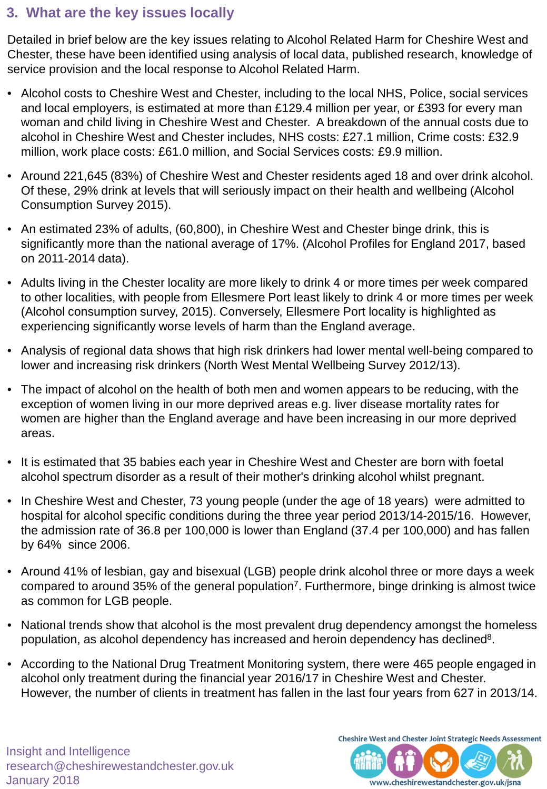### **3. What are the key issues locally**

Detailed in brief below are the key issues relating to Alcohol Related Harm for Cheshire West and Chester, these have been identified using analysis of local data, published research, knowledge of service provision and the local response to Alcohol Related Harm.

- Alcohol costs to Cheshire West and Chester, including to the local NHS, Police, social services and local employers, is estimated at more than £129.4 million per year, or £393 for every man woman and child living in Cheshire West and Chester. A breakdown of the annual costs due to alcohol in Cheshire West and Chester includes, NHS costs: £27.1 million, Crime costs: £32.9 million, work place costs: £61.0 million, and Social Services costs: £9.9 million.
- Around 221,645 (83%) of Cheshire West and Chester residents aged 18 and over drink alcohol. Of these, 29% drink at levels that will seriously impact on their health and wellbeing (Alcohol Consumption Survey 2015).
- An estimated 23% of adults, (60,800), in Cheshire West and Chester binge drink, this is significantly more than the national average of 17%. (Alcohol Profiles for England 2017, based on 2011-2014 data).
- Adults living in the Chester locality are more likely to drink 4 or more times per week compared to other localities, with people from Ellesmere Port least likely to drink 4 or more times per week (Alcohol consumption survey, 2015). Conversely, Ellesmere Port locality is highlighted as experiencing significantly worse levels of harm than the England average.
- Analysis of regional data shows that high risk drinkers had lower mental well-being compared to lower and increasing risk drinkers (North West Mental Wellbeing Survey 2012/13).
- The impact of alcohol on the health of both men and women appears to be reducing, with the exception of women living in our more deprived areas e.g. liver disease mortality rates for women are higher than the England average and have been increasing in our more deprived areas.
- It is estimated that 35 babies each year in Cheshire West and Chester are born with foetal alcohol spectrum disorder as a result of their mother's drinking alcohol whilst pregnant.
- In Cheshire West and Chester, 73 young people (under the age of 18 years) were admitted to hospital for alcohol specific conditions during the three year period 2013/14-2015/16. However, the admission rate of 36.8 per 100,000 is lower than England (37.4 per 100,000) and has fallen by 64% since 2006.
- Around 41% of lesbian, gay and bisexual (LGB) people drink alcohol three or more days a week compared to around 35% of the general population<sup>7</sup>. Furthermore, binge drinking is almost twice as common for LGB people.
- National trends show that alcohol is the most prevalent drug dependency amongst the homeless population, as alcohol dependency has increased and heroin dependency has declined<sup>8</sup>.
- According to the National Drug Treatment Monitoring system, there were 465 people engaged in alcohol only treatment during the financial year 2016/17 in Cheshire West and Chester. However, the number of clients in treatment has fallen in the last four years from 627 in 2013/14.



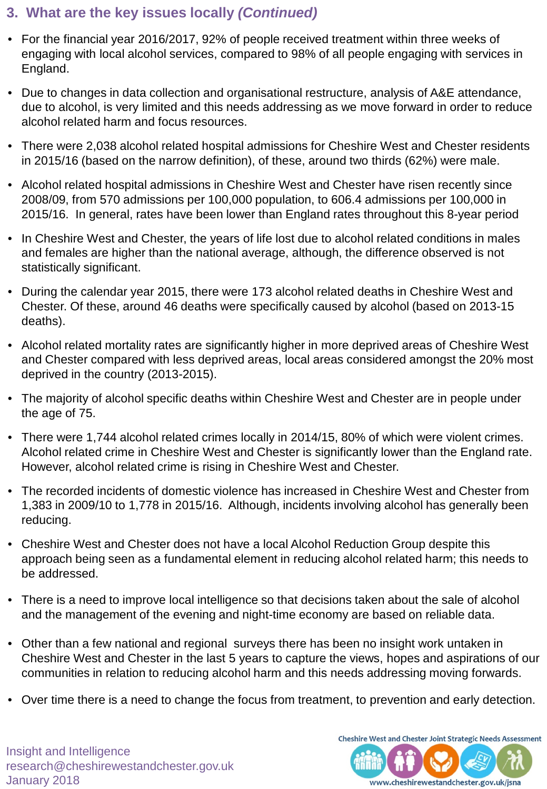### **3. What are the key issues locally** *(Continued)*

- For the financial year 2016/2017, 92% of people received treatment within three weeks of engaging with local alcohol services, compared to 98% of all people engaging with services in England.
- Due to changes in data collection and organisational restructure, analysis of A&E attendance, due to alcohol, is very limited and this needs addressing as we move forward in order to reduce alcohol related harm and focus resources.
- There were 2,038 alcohol related hospital admissions for Cheshire West and Chester residents in 2015/16 (based on the narrow definition), of these, around two thirds (62%) were male.
- Alcohol related hospital admissions in Cheshire West and Chester have risen recently since 2008/09, from 570 admissions per 100,000 population, to 606.4 admissions per 100,000 in 2015/16. In general, rates have been lower than England rates throughout this 8-year period
- In Cheshire West and Chester, the years of life lost due to alcohol related conditions in males and females are higher than the national average, although, the difference observed is not statistically significant.
- During the calendar year 2015, there were 173 alcohol related deaths in Cheshire West and Chester. Of these, around 46 deaths were specifically caused by alcohol (based on 2013-15 deaths).
- Alcohol related mortality rates are significantly higher in more deprived areas of Cheshire West and Chester compared with less deprived areas, local areas considered amongst the 20% most deprived in the country (2013-2015).
- The majority of alcohol specific deaths within Cheshire West and Chester are in people under the age of 75.
- There were 1,744 alcohol related crimes locally in 2014/15, 80% of which were violent crimes. Alcohol related crime in Cheshire West and Chester is significantly lower than the England rate. However, alcohol related crime is rising in Cheshire West and Chester.
- The recorded incidents of domestic violence has increased in Cheshire West and Chester from 1,383 in 2009/10 to 1,778 in 2015/16. Although, incidents involving alcohol has generally been reducing.
- Cheshire West and Chester does not have a local Alcohol Reduction Group despite this approach being seen as a fundamental element in reducing alcohol related harm; this needs to be addressed.
- There is a need to improve local intelligence so that decisions taken about the sale of alcohol and the management of the evening and night-time economy are based on reliable data.
- Other than a few national and regional surveys there has been no insight work untaken in Cheshire West and Chester in the last 5 years to capture the views, hopes and aspirations of our communities in relation to reducing alcohol harm and this needs addressing moving forwards.
- Over time there is a need to change the focus from treatment, to prevention and early detection.

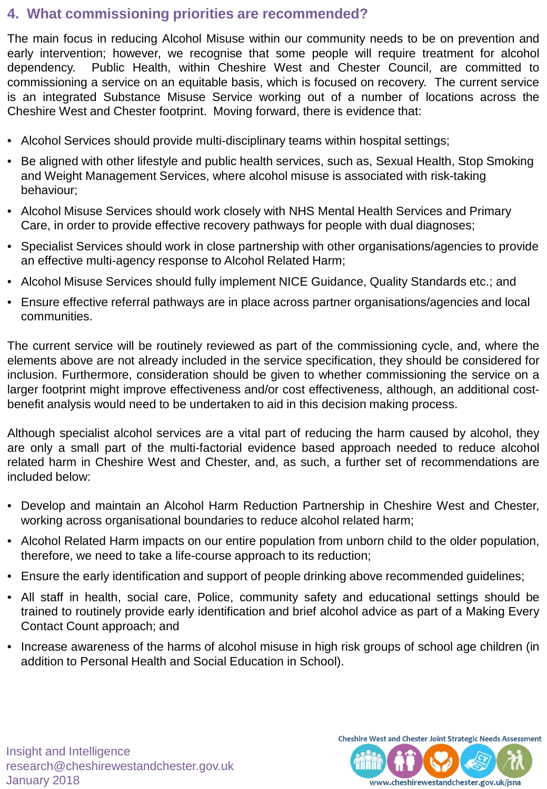### **4. What commissioning priorities are recommended?**

The main focus in reducing Alcohol Misuse within our community needs to be on prevention and early intervention; however, we recognise that some people will require treatment for alcohol dependency. Public Health, within Cheshire West and Chester Council, are committed to commissioning a service on an equitable basis, which is focused on recovery. The current service is an integrated Substance Misuse Service working out of a number of locations across the Cheshire West and Chester footprint. Moving forward, there is evidence that:

- Alcohol Services should provide multi-disciplinary teams within hospital settings;
- Be aligned with other lifestyle and public health services, such as, Sexual Health, Stop Smoking and Weight Management Services, where alcohol misuse is associated with risk-taking behaviour;
- Alcohol Misuse Services should work closely with NHS Mental Health Services and Primary Care, in order to provide effective recovery pathways for people with dual diagnoses;
- Specialist Services should work in close partnership with other organisations/agencies to provide an effective multi-agency response to Alcohol Related Harm;
- Alcohol Misuse Services should fully implement NICE Guidance, Quality Standards etc.; and
- Ensure effective referral pathways are in place across partner organisations/agencies and local communities.

The current service will be routinely reviewed as part of the commissioning cycle, and, where the elements above are not already included in the service specification, they should be considered for inclusion. Furthermore, consideration should be given to whether commissioning the service on a larger footprint might improve effectiveness and/or cost effectiveness, although, an additional costbenefit analysis would need to be undertaken to aid in this decision making process.

Although specialist alcohol services are a vital part of reducing the harm caused by alcohol, they are only a small part of the multi-factorial evidence based approach needed to reduce alcohol related harm in Cheshire West and Chester, and, as such, a further set of recommendations are included below:

- Develop and maintain an Alcohol Harm Reduction Partnership in Cheshire West and Chester, working across organisational boundaries to reduce alcohol related harm;
- Alcohol Related Harm impacts on our entire population from unborn child to the older population, therefore, we need to take a life-course approach to its reduction;
- Ensure the early identification and support of people drinking above recommended guidelines;
- All staff in health, social care, Police, community safety and educational settings should be trained to routinely provide early identification and brief alcohol advice as part of a Making Every Contact Count approach; and
- Increase awareness of the harms of alcohol misuse in high risk groups of school age children (in addition to Personal Health and Social Education in School).

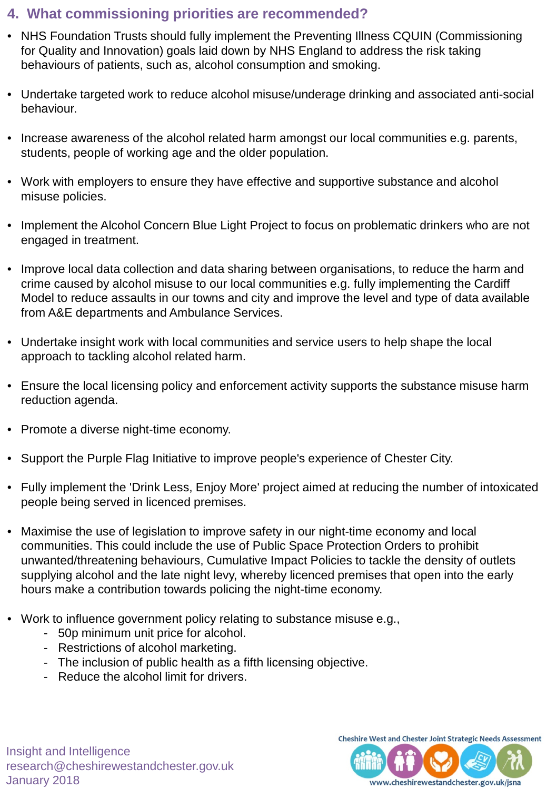### **4. What commissioning priorities are recommended?**

- NHS Foundation Trusts should fully implement the Preventing Illness CQUIN (Commissioning for Quality and Innovation) goals laid down by NHS England to address the risk taking behaviours of patients, such as, alcohol consumption and smoking.
- Undertake targeted work to reduce alcohol misuse/underage drinking and associated anti-social behaviour.
- Increase awareness of the alcohol related harm amongst our local communities e.g. parents, students, people of working age and the older population.
- Work with employers to ensure they have effective and supportive substance and alcohol misuse policies.
- Implement the Alcohol Concern Blue Light Project to focus on problematic drinkers who are not engaged in treatment.
- Improve local data collection and data sharing between organisations, to reduce the harm and crime caused by alcohol misuse to our local communities e.g. fully implementing the Cardiff Model to reduce assaults in our towns and city and improve the level and type of data available from A&E departments and Ambulance Services.
- Undertake insight work with local communities and service users to help shape the local approach to tackling alcohol related harm.
- Ensure the local licensing policy and enforcement activity supports the substance misuse harm reduction agenda.
- Promote a diverse night-time economy.
- Support the Purple Flag Initiative to improve people's experience of Chester City.
- Fully implement the 'Drink Less, Enjoy More' project aimed at reducing the number of intoxicated people being served in licenced premises.
- Maximise the use of legislation to improve safety in our night-time economy and local communities. This could include the use of Public Space Protection Orders to prohibit unwanted/threatening behaviours, Cumulative Impact Policies to tackle the density of outlets supplying alcohol and the late night levy, whereby licenced premises that open into the early hours make a contribution towards policing the night-time economy.
- Work to influence government policy relating to substance misuse e.g.,
	- 50p minimum unit price for alcohol.
	- Restrictions of alcohol marketing.
	- The inclusion of public health as a fifth licensing objective.
	- Reduce the alcohol limit for drivers.



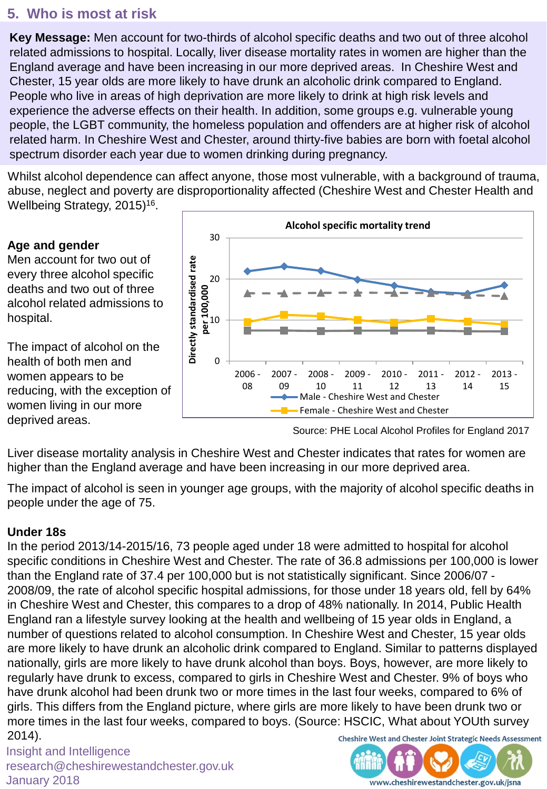## **5. Who is most at risk**

**Key Message:** Men account for two-thirds of alcohol specific deaths and two out of three alcohol related admissions to hospital. Locally, liver disease mortality rates in women are higher than the England average and have been increasing in our more deprived areas. In Cheshire West and Chester, 15 year olds are more likely to have drunk an alcoholic drink compared to England. People who live in areas of high deprivation are more likely to drink at high risk levels and experience the adverse effects on their health. In addition, some groups e.g. vulnerable young people, the LGBT community, the homeless population and offenders are at higher risk of alcohol related harm. In Cheshire West and Chester, around thirty-five babies are born with foetal alcohol spectrum disorder each year due to women drinking during pregnancy.

Whilst alcohol dependence can affect anyone, those most vulnerable, with a background of trauma, abuse, neglect and poverty are disproportionality affected (Cheshire West and Chester Health and Wellbeing Strategy, 2015)<sup>16</sup>.

#### **Age and gender**

Men account for two out of every three alcohol specific deaths and two out of three alcohol related admissions to hospital.

The impact of alcohol on the health of both men and women appears to be reducing, with the exception of women living in our more deprived areas.



Source: PHE Local Alcohol Profiles for England 2017

Liver disease mortality analysis in Cheshire West and Chester indicates that rates for women are higher than the England average and have been increasing in our more deprived area.

The impact of alcohol is seen in younger age groups, with the majority of alcohol specific deaths in people under the age of 75.

#### **Under 18s**

In the period 2013/14-2015/16, 73 people aged under 18 were admitted to hospital for alcohol specific conditions in Cheshire West and Chester. The rate of 36.8 admissions per 100,000 is lower than the England rate of 37.4 per 100,000 but is not statistically significant. Since 2006/07 - 2008/09, the rate of alcohol specific hospital admissions, for those under 18 years old, fell by 64% in Cheshire West and Chester, this compares to a drop of 48% nationally. In 2014, Public Health England ran a lifestyle survey looking at the health and wellbeing of 15 year olds in England, a number of questions related to alcohol consumption. In Cheshire West and Chester, 15 year olds are more likely to have drunk an alcoholic drink compared to England. Similar to patterns displayed nationally, girls are more likely to have drunk alcohol than boys. Boys, however, are more likely to regularly have drunk to excess, compared to girls in Cheshire West and Chester. 9% of boys who have drunk alcohol had been drunk two or more times in the last four weeks, compared to 6% of girls. This differs from the England picture, where girls are more likely to have been drunk two or more times in the last four weeks, compared to boys. (Source: HSCIC, What about YOUth survey 2014).

Insight and Intelligence research@cheshirewestandchester.gov.uk January 2018

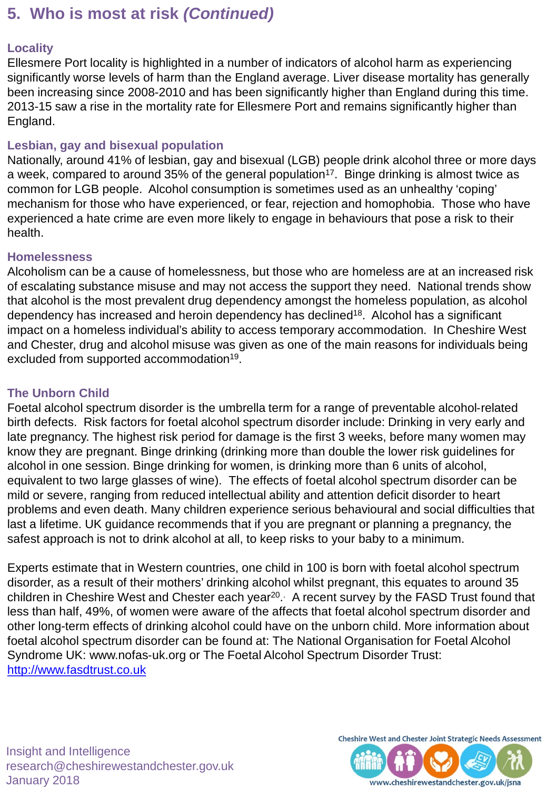## **5. Who is most at risk** *(Continued)*

#### **Locality**

Ellesmere Port locality is highlighted in a number of indicators of alcohol harm as experiencing significantly worse levels of harm than the England average. Liver disease mortality has generally been increasing since 2008-2010 and has been significantly higher than England during this time. 2013-15 saw a rise in the mortality rate for Ellesmere Port and remains significantly higher than England.

#### **Lesbian, gay and bisexual population**

Nationally, around 41% of lesbian, gay and bisexual (LGB) people drink alcohol three or more days a week, compared to around 35% of the general population<sup>17</sup>. Binge drinking is almost twice as common for LGB people. Alcohol consumption is sometimes used as an unhealthy 'coping' mechanism for those who have experienced, or fear, rejection and homophobia. Those who have experienced a hate crime are even more likely to engage in behaviours that pose a risk to their health.

#### **Homelessness**

Alcoholism can be a cause of homelessness, but those who are homeless are at an increased risk of escalating substance misuse and may not access the support they need. National trends show that alcohol is the most prevalent drug dependency amongst the homeless population, as alcohol dependency has increased and heroin dependency has declined<sup>18</sup>. Alcohol has a significant impact on a homeless individual's ability to access temporary accommodation. In Cheshire West and Chester, drug and alcohol misuse was given as one of the main reasons for individuals being excluded from supported accommodation<sup>19</sup>.

#### **The Unborn Child**

Foetal alcohol spectrum disorder is the umbrella term for a range of preventable alcohol‐related birth defects. Risk factors for foetal alcohol spectrum disorder include: Drinking in very early and late pregnancy. The highest risk period for damage is the first 3 weeks, before many women may know they are pregnant. Binge drinking (drinking more than double the lower risk guidelines for alcohol in one session. Binge drinking for women, is drinking more than 6 units of alcohol, equivalent to two large glasses of wine). The effects of foetal alcohol spectrum disorder can be mild or severe, ranging from reduced intellectual ability and attention deficit disorder to heart problems and even death. Many children experience serious behavioural and social difficulties that last a lifetime. UK guidance recommends that if you are pregnant or planning a pregnancy, the safest approach is not to drink alcohol at all, to keep risks to your baby to a minimum.

Experts estimate that in Western countries, one child in 100 is born with foetal alcohol spectrum disorder, as a result of their mothers' drinking alcohol whilst pregnant, this equates to around 35 children in Cheshire West and Chester each year<sup>20</sup>. A recent survey by the FASD Trust found that less than half, 49%, of women were aware of the affects that foetal alcohol spectrum disorder and other long-term effects of drinking alcohol could have on the unborn child. More information about foetal alcohol spectrum disorder can be found at: The National Organisation for Foetal Alcohol Syndrome UK: www.nofas‐uk.org or The Foetal Alcohol Spectrum Disorder Trust: [http://www.fasdtrust.co.uk](http://www.fasdtrust.co.uk/)

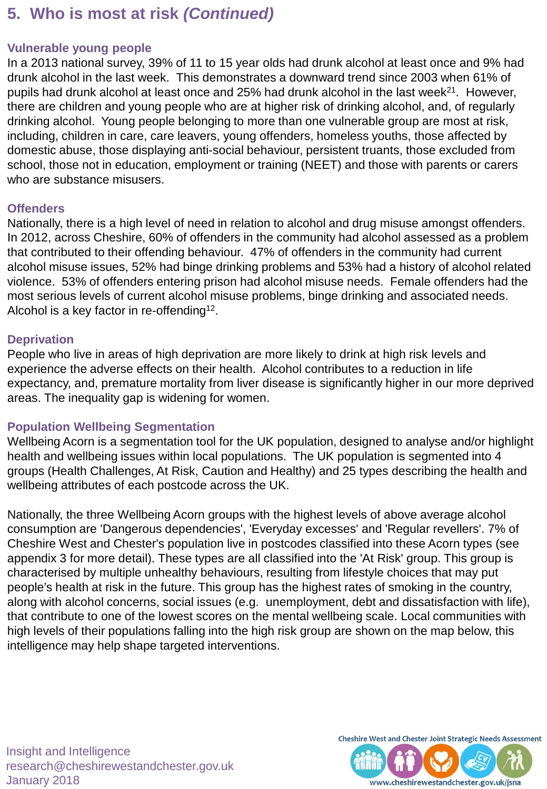## **5. Who is most at risk** *(Continued)*

#### **Vulnerable young people**

In a 2013 national survey, 39% of 11 to 15 year olds had drunk alcohol at least once and 9% had drunk alcohol in the last week. This demonstrates a downward trend since 2003 when 61% of pupils had drunk alcohol at least once and 25% had drunk alcohol in the last week<sup>21</sup>. However, there are children and young people who are at higher risk of drinking alcohol, and, of regularly drinking alcohol. Young people belonging to more than one vulnerable group are most at risk, including, children in care, care leavers, young offenders, homeless youths, those affected by domestic abuse, those displaying anti-social behaviour, persistent truants, those excluded from school, those not in education, employment or training (NEET) and those with parents or carers who are substance misusers.

#### **Offenders**

Nationally, there is a high level of need in relation to alcohol and drug misuse amongst offenders. In 2012, across Cheshire, 60% of offenders in the community had alcohol assessed as a problem that contributed to their offending behaviour. 47% of offenders in the community had current alcohol misuse issues, 52% had binge drinking problems and 53% had a history of alcohol related violence. 53% of offenders entering prison had alcohol misuse needs. Female offenders had the most serious levels of current alcohol misuse problems, binge drinking and associated needs. Alcohol is a key factor in re-offending<sup>12</sup>.

#### **Deprivation**

People who live in areas of high deprivation are more likely to drink at high risk levels and experience the adverse effects on their health. Alcohol contributes to a reduction in life expectancy, and, premature mortality from liver disease is significantly higher in our more deprived areas. The inequality gap is widening for women.

#### **Population Wellbeing Segmentation**

Wellbeing Acorn is a segmentation tool for the UK population, designed to analyse and/or highlight health and wellbeing issues within local populations. The UK population is segmented into 4 groups (Health Challenges, At Risk, Caution and Healthy) and 25 types describing the health and wellbeing attributes of each postcode across the UK.

Nationally, the three Wellbeing Acorn groups with the highest levels of above average alcohol consumption are 'Dangerous dependencies', 'Everyday excesses' and 'Regular revellers'. 7% of Cheshire West and Chester's population live in postcodes classified into these Acorn types (see appendix 3 for more detail). These types are all classified into the 'At Risk' group. This group is characterised by multiple unhealthy behaviours, resulting from lifestyle choices that may put people's health at risk in the future. This group has the highest rates of smoking in the country, along with alcohol concerns, social issues (e.g. unemployment, debt and dissatisfaction with life), that contribute to one of the lowest scores on the mental wellbeing scale. Local communities with high levels of their populations falling into the high risk group are shown on the map below, this intelligence may help shape targeted interventions.

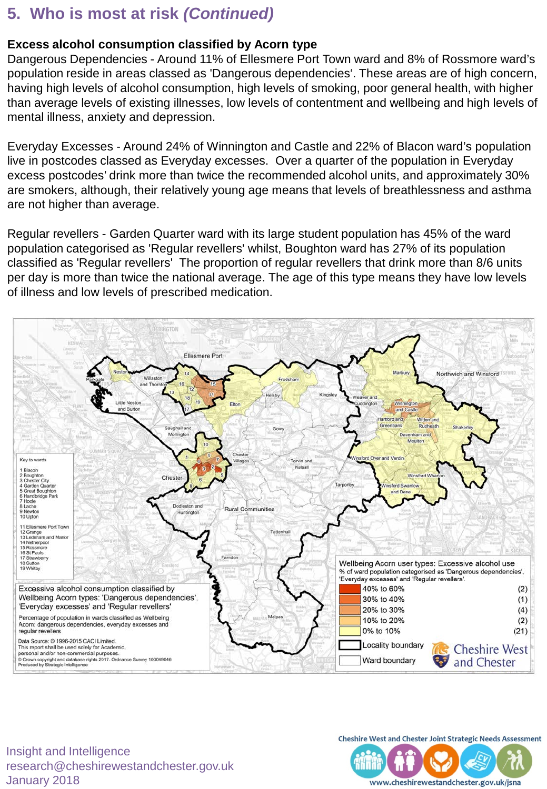## **5. Who is most at risk** *(Continued)*

#### **Excess alcohol consumption classified by Acorn type**

Dangerous Dependencies - Around 11% of Ellesmere Port Town ward and 8% of Rossmore ward's population reside in areas classed as 'Dangerous dependencies'. These areas are of high concern, having high levels of alcohol consumption, high levels of smoking, poor general health, with higher than average levels of existing illnesses, low levels of contentment and wellbeing and high levels of mental illness, anxiety and depression.

Everyday Excesses - Around 24% of Winnington and Castle and 22% of Blacon ward's population live in postcodes classed as Everyday excesses. Over a quarter of the population in Everyday excess postcodes' drink more than twice the recommended alcohol units, and approximately 30% are smokers, although, their relatively young age means that levels of breathlessness and asthma are not higher than average.

Regular revellers - Garden Quarter ward with its large student population has 45% of the ward population categorised as 'Regular revellers' whilst, Boughton ward has 27% of its population classified as 'Regular revellers' The proportion of regular revellers that drink more than 8/6 units per day is more than twice the national average. The age of this type means they have low levels of illness and low levels of prescribed medication.





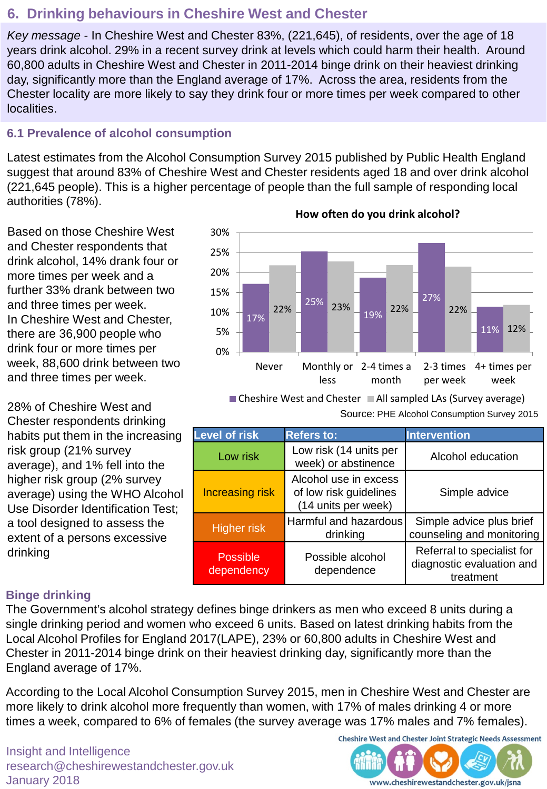## **6. Drinking behaviours in Cheshire West and Chester**

*Key message -* In Cheshire West and Chester 83%, (221,645), of residents, over the age of 18 years drink alcohol. 29% in a recent survey drink at levels which could harm their health. Around 60,800 adults in Cheshire West and Chester in 2011-2014 binge drink on their heaviest drinking day, significantly more than the England average of 17%. Across the area, residents from the Chester locality are more likely to say they drink four or more times per week compared to other localities.

#### **6.1 Prevalence of alcohol consumption**

Latest estimates from the Alcohol Consumption Survey 2015 published by Public Health England suggest that around 83% of Cheshire West and Chester residents aged 18 and over drink alcohol (221,645 people). This is a higher percentage of people than the full sample of responding local authorities (78%).

Based on those Cheshire West and Chester respondents that drink alcohol, 14% drank four or more times per week and a further 33% drank between two and three times per week. In Cheshire West and Chester, there are 36,900 people who drink four or more times per week, 88,600 drink between two and three times per week.

28% of Cheshire West and Chester respondents drinking habits put them in the increasing risk group (21% survey average), and 1% fell into the higher risk group (2% survey average) using the WHO Alcohol Use Disorder Identification Test; a tool designed to assess the extent of a persons excessive drinking

### **Binge drinking**

The Government's alcohol strategy defines binge drinkers as men who exceed 8 units during a single drinking period and women who exceed 6 units. Based on latest drinking habits from the Local Alcohol Profiles for England 2017(LAPE), 23% or 60,800 adults in Cheshire West and Chester in 2011-2014 binge drink on their heaviest drinking day, significantly more than the England average of 17%.

According to the Local Alcohol Consumption Survey 2015, men in Cheshire West and Chester are more likely to drink alcohol more frequently than women, with 17% of males drinking 4 or more times a week, compared to 6% of females (the survey average was 17% males and 7% females).

Insight and Intelligence research@cheshirewestandchester.gov.uk January 2018

**How often do you drink alcohol?**



 $\blacksquare$  Cheshire West and Chester  $\blacksquare$  All sampled LAs (Survey average) Source: PHE Alcohol Consumption Survey 2015

| Level of risk                 | <b>Refers to:</b>                                                      | <b>Intervention</b>                                                  |
|-------------------------------|------------------------------------------------------------------------|----------------------------------------------------------------------|
| Low risk                      | Low risk (14 units per<br>week) or abstinence                          | Alcohol education                                                    |
| <b>Increasing risk</b>        | Alcohol use in excess<br>of low risk guidelines<br>(14 units per week) | Simple advice                                                        |
| <b>Higher risk</b>            | Harmful and hazardous<br>drinking                                      | Simple advice plus brief<br>counseling and monitoring                |
| <b>Possible</b><br>dependency | Possible alcohol<br>dependence                                         | Referral to specialist for<br>diagnostic evaluation and<br>treatment |

Cheshire West and Chester Joint Strategic Needs Assessment

www.cheshirewestandchester.gov.uk/jsna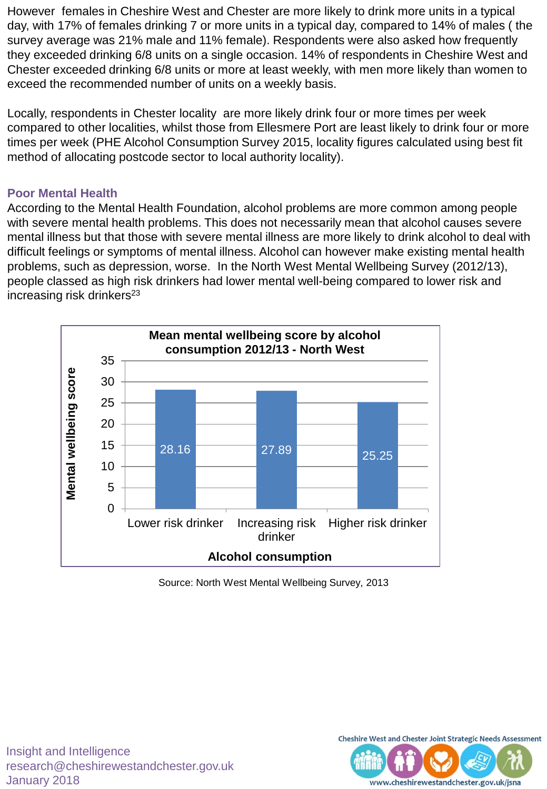However females in Cheshire West and Chester are more likely to drink more units in a typical day, with 17% of females drinking 7 or more units in a typical day, compared to 14% of males ( the survey average was 21% male and 11% female). Respondents were also asked how frequently they exceeded drinking 6/8 units on a single occasion. 14% of respondents in Cheshire West and Chester exceeded drinking 6/8 units or more at least weekly, with men more likely than women to exceed the recommended number of units on a weekly basis.

Locally, respondents in Chester locality are more likely drink four or more times per week compared to other localities, whilst those from Ellesmere Port are least likely to drink four or more times per week (PHE Alcohol Consumption Survey 2015, locality figures calculated using best fit method of allocating postcode sector to local authority locality).

#### **Poor Mental Health**

According to the Mental Health Foundation, alcohol problems are more common among people with severe mental health problems. This does not necessarily mean that alcohol causes severe mental illness but that those with severe mental illness are more likely to drink alcohol to deal with difficult feelings or symptoms of mental illness. Alcohol can however make existing mental health problems, such as depression, worse. In the North West Mental Wellbeing Survey (2012/13), people classed as high risk drinkers had lower mental well-being compared to lower risk and increasing risk drinkers $^{23}$ 



Source: North West Mental Wellbeing Survey, 2013

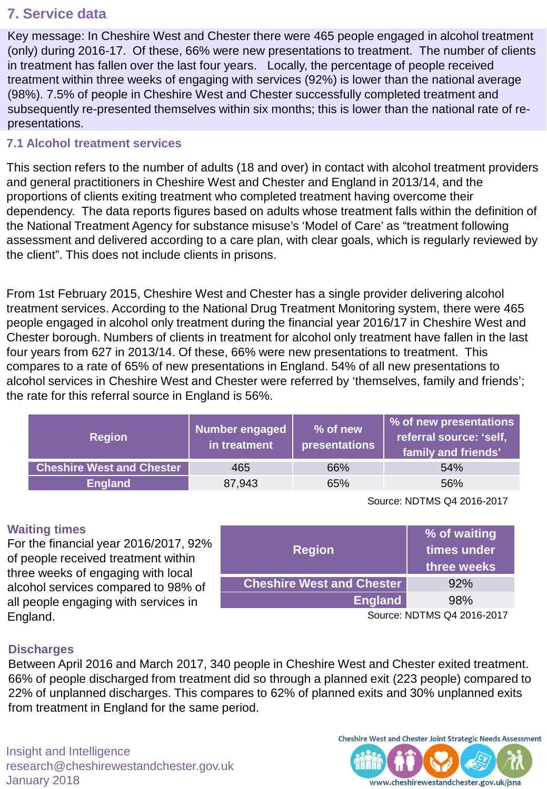## **7. Service data**

Key message: In Cheshire West and Chester there were 465 people engaged in alcohol treatment (only) during 2016-17. Of these, 66% were new presentations to treatment. The number of clients in treatment has fallen over the last four years. Locally, the percentage of people received treatment within three weeks of engaging with services (92%) is lower than the national average (98%). 7.5% of people in Cheshire West and Chester successfully completed treatment and subsequently re-presented themselves within six months; this is lower than the national rate of representations.

#### **7.1 Alcohol treatment services**

This section refers to the number of adults (18 and over) in contact with alcohol treatment providers and general practitioners in Cheshire West and Chester and England in 2013/14, and the proportions of clients exiting treatment who completed treatment having overcome their dependency. The data reports figures based on adults whose treatment falls within the definition of the National Treatment Agency for substance misuse's 'Model of Care' as "treatment following assessment and delivered according to a care plan, with clear goals, which is regularly reviewed by the client". This does not include clients in prisons.

From 1st February 2015, Cheshire West and Chester has a single provider delivering alcohol treatment services. According to the National Drug Treatment Monitoring system, there were 465 people engaged in alcohol only treatment during the financial year 2016/17 in Cheshire West and Chester borough. Numbers of clients in treatment for alcohol only treatment have fallen in the last four years from 627 in 2013/14. Of these, 66% were new presentations to treatment. This compares to a rate of 65% of new presentations in England. 54% of all new presentations to alcohol services in Cheshire West and Chester were referred by 'themselves, family and friends'; the rate for this referral source in England is 56%.

| <b>Region</b>                    | <b>Number engaged</b><br>$\mathsf{I}$ in treatment $\mathsf{I}$ | % of new<br>presentations | % of new presentations<br>referral source: 'self,<br><b>family and friends'</b> |
|----------------------------------|-----------------------------------------------------------------|---------------------------|---------------------------------------------------------------------------------|
| <b>Cheshire West and Chester</b> | 465                                                             | 66%                       | 54%                                                                             |
| <b>England</b>                   | 87,943                                                          | 65%                       | 56%                                                                             |

#### **Waiting times**

For the financial year 2016/2017, 92% of people received treatment within three weeks of engaging with local alcohol services compared to 98% of all people engaging with services in England.

| <b>Region</b>                    | % of waiting<br>times under<br>three weeks |
|----------------------------------|--------------------------------------------|
| <b>Cheshire West and Chester</b> | 92%                                        |
| England                          | 98%                                        |
|                                  |                                            |

Source: NDTMS Q4 2016-2017

Source: NDTMS Q4 2016-2017

#### **Discharges**

Between April 2016 and March 2017, 340 people in Cheshire West and Chester exited treatment. 66% of people discharged from treatment did so through a planned exit (223 people) compared to 22% of unplanned discharges. This compares to 62% of planned exits and 30% unplanned exits from treatment in England for the same period.

Insight and Intelligence research@cheshirewestandchester.gov.uk January 2018

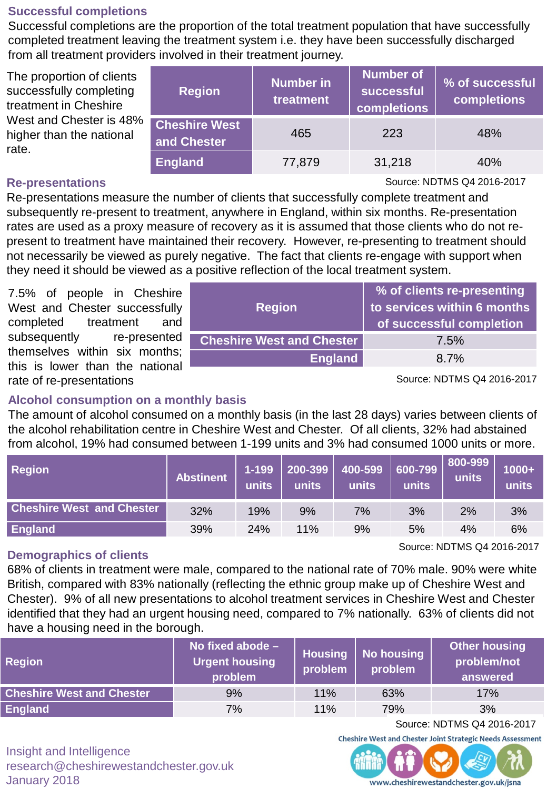#### **Successful completions**

Successful completions are the proportion of the total treatment population that have successfully completed treatment leaving the treatment system i.e. they have been successfully discharged from all treatment providers involved in their treatment journey.

The proportion of clients successfully completing treatment in Cheshire West and Chester is 48% higher than the national rate.

| <b>Region</b>                       | <b>Number in</b><br>treatment | <b>Number of</b><br>successful<br>completions | % of successful<br>completions |  |
|-------------------------------------|-------------------------------|-----------------------------------------------|--------------------------------|--|
| <b>Cheshire West</b><br>and Chester | 465                           | 223                                           | 48%                            |  |
| <b>England</b>                      | 77,879                        | 31,218                                        | 40%                            |  |

#### **Re-presentations**

Source: NDTMS Q4 2016-2017

Re-presentations measure the number of clients that successfully complete treatment and subsequently re-present to treatment, anywhere in England, within six months. Re-presentation rates are used as a proxy measure of recovery as it is assumed that those clients who do not represent to treatment have maintained their recovery. However, re-presenting to treatment should not necessarily be viewed as purely negative. The fact that clients re-engage with support when they need it should be viewed as a positive reflection of the local treatment system.

7.5% of people in Cheshire West and Chester successfully completed treatment and subsequently re-presented themselves within six months; this is lower than the national rate of re-presentations

|                                  | % of clients re-presenting  |
|----------------------------------|-----------------------------|
| <b>Region</b>                    | to services within 6 months |
|                                  | of successful completion    |
| <b>Cheshire West and Chester</b> | 7.5%                        |
| <b>England</b>                   | 8.7%                        |
|                                  |                             |

Source: NDTMS Q4 2016-2017

#### **Alcohol consumption on a monthly basis**

The amount of alcohol consumed on a monthly basis (in the last 28 days) varies between clients of the alcohol rehabilitation centre in Cheshire West and Chester. Of all clients, 32% had abstained from alcohol, 19% had consumed between 1-199 units and 3% had consumed 1000 units or more.

| <b>Region</b>                    | <b>Abstinent</b> | units | units | $\sqrt{1-199}$ 200-399 400-599 600-799<br>units | units | 800-999<br>units | $1000+$<br>units |
|----------------------------------|------------------|-------|-------|-------------------------------------------------|-------|------------------|------------------|
| <b>Cheshire West and Chester</b> | 32%              | 19%   | 9%    | 7%                                              | 3%    | 2%               | 3%               |
| England                          | 39%              | 24%   | 11%   | 9%                                              | 5%    | 4%               | 6%               |

#### **Demographics of clients**

Source: NDTMS Q4 2016-2017

68% of clients in treatment were male, compared to the national rate of 70% male. 90% were white British, compared with 83% nationally (reflecting the ethnic group make up of Cheshire West and Chester). 9% of all new presentations to alcohol treatment services in Cheshire West and Chester identified that they had an urgent housing need, compared to 7% nationally. 63% of clients did not have a housing need in the borough.

| <b>Region</b>                    | No fixed abode -<br><b>Urgent housing</b><br>problem | problem | <b>Housing</b> $\vert$ No housing<br>problem | <b>Other housing</b><br>problem/not<br>answered |  |
|----------------------------------|------------------------------------------------------|---------|----------------------------------------------|-------------------------------------------------|--|
| <b>Cheshire West and Chester</b> | 9%                                                   | 11%     | 63%                                          | 17%                                             |  |
| <b>England</b>                   | 7%                                                   | 11%     | 79%                                          | 3%                                              |  |
|                                  |                                                      |         |                                              |                                                 |  |

Source: NDTMS Q4 2016-2017

Insight and Intelligence research@cheshirewestandchester.gov.uk January 2018

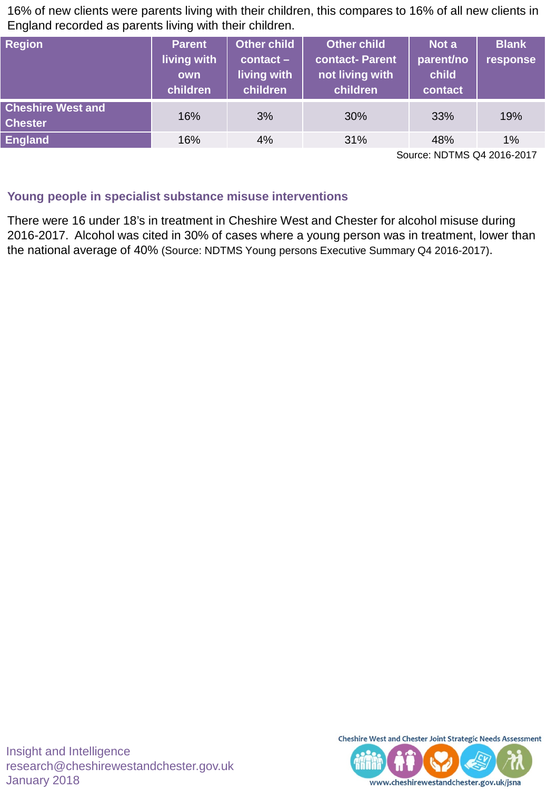16% of new clients were parents living with their children, this compares to 16% of all new clients in England recorded as parents living with their children.

| <b>Region</b>                              | <b>Parent</b><br>living with<br>own<br>children | <b>Other child</b><br>$\text{contact}$ –<br>living with<br>children | <b>Other child</b><br>contact- Parent<br>not living with<br>children | Not a<br>parent/no<br>child<br>contact | <b>Blank</b><br>response |
|--------------------------------------------|-------------------------------------------------|---------------------------------------------------------------------|----------------------------------------------------------------------|----------------------------------------|--------------------------|
| <b>Cheshire West and</b><br><b>Chester</b> | 16%                                             | 3%                                                                  | 30%                                                                  | 33%                                    | 19%                      |
| <b>England</b>                             | 16%                                             | 4%                                                                  | 31%                                                                  | 48%                                    | 1%                       |

Source: NDTMS Q4 2016-2017

#### **Young people in specialist substance misuse interventions**

There were 16 under 18's in treatment in Cheshire West and Chester for alcohol misuse during 2016-2017. Alcohol was cited in 30% of cases where a young person was in treatment, lower than the national average of 40% (Source: NDTMS Young persons Executive Summary Q4 2016-2017).

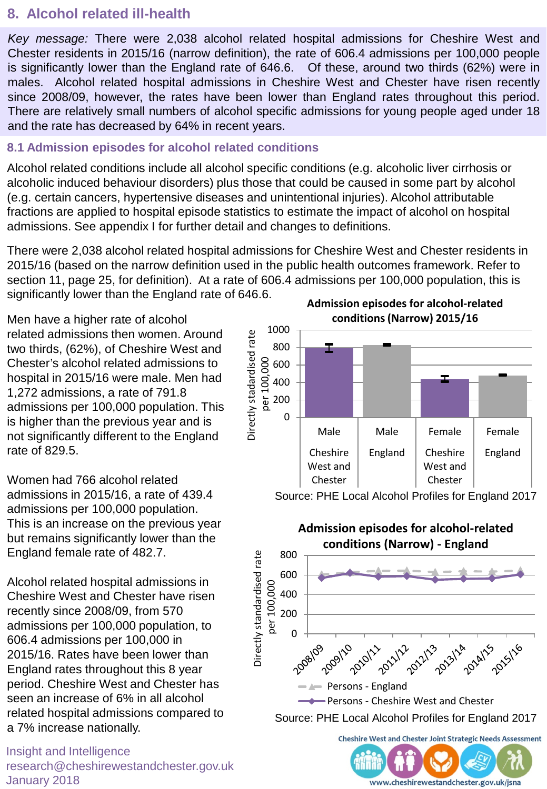## **8. Alcohol related ill-health**

*Key message:* There were 2,038 alcohol related hospital admissions for Cheshire West and Chester residents in 2015/16 (narrow definition), the rate of 606.4 admissions per 100,000 people is significantly lower than the England rate of 646.6. Of these, around two thirds (62%) were in males. Alcohol related hospital admissions in Cheshire West and Chester have risen recently since 2008/09, however, the rates have been lower than England rates throughout this period. There are relatively small numbers of alcohol specific admissions for young people aged under 18 and the rate has decreased by 64% in recent years.

#### **8.1 Admission episodes for alcohol related conditions**

Alcohol related conditions include all alcohol specific conditions (e.g. alcoholic liver cirrhosis or alcoholic induced behaviour disorders) plus those that could be caused in some part by alcohol (e.g. certain cancers, hypertensive diseases and unintentional injuries). Alcohol attributable fractions are applied to hospital episode statistics to estimate the impact of alcohol on hospital admissions. See appendix I for further detail and changes to definitions.

There were 2,038 alcohol related hospital admissions for Cheshire West and Chester residents in 2015/16 (based on the narrow definition used in the public health outcomes framework. Refer to section 11, page 25, for definition). At a rate of 606.4 admissions per 100,000 population, this is significantly lower than the England rate of 646.6.

Men have a higher rate of alcohol **conditions (Narrow) 2015/16** related admissions then women. Around two thirds, (62%), of Cheshire West and Chester's alcohol related admissions to hospital in 2015/16 were male. Men had 1,272 admissions, a rate of 791.8 admissions per 100,000 population. This is higher than the previous year and is not significantly different to the England rate of 829.5.

Women had 766 alcohol related admissions in 2015/16, a rate of 439.4 admissions per 100,000 population. This is an increase on the previous year but remains significantly lower than the England female rate of 482.7.

Alcohol related hospital admissions in Cheshire West and Chester have risen recently since 2008/09, from 570 admissions per 100,000 population, to 606.4 admissions per 100,000 in 2015/16. Rates have been lower than England rates throughout this 8 year period. Cheshire West and Chester has seen an increase of 6% in all alcohol related hospital admissions compared to a 7% increase nationally.

#### Insight and Intelligence research@cheshirewestandchester.gov.uk January 2018

**Admission episodes for alcohol-related** 



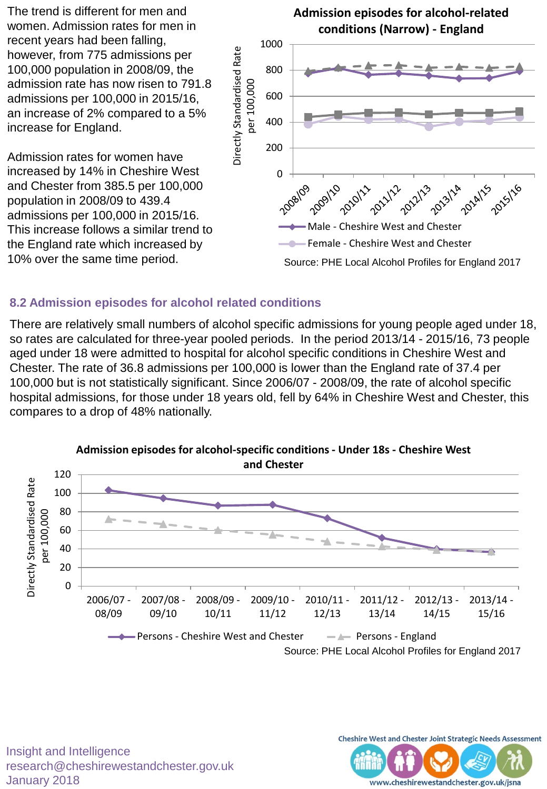The trend is different for men and women. Admission rates for men in recent years had been falling, however, from 775 admissions per 100,000 population in 2008/09, the admission rate has now risen to 791.8 admissions per 100,000 in 2015/16, an increase of 2% compared to a 5% increase for England.

Admission rates for women have increased by 14% in Cheshire West and Chester from 385.5 per 100,000 population in 2008/09 to 439.4 admissions per 100,000 in 2015/16. This increase follows a similar trend to the England rate which increased by 10% over the same time period.



#### **8.2 Admission episodes for alcohol related conditions**

There are relatively small numbers of alcohol specific admissions for young people aged under 18, so rates are calculated for three-year pooled periods. In the period 2013/14 - 2015/16, 73 people aged under 18 were admitted to hospital for alcohol specific conditions in Cheshire West and Chester. The rate of 36.8 admissions per 100,000 is lower than the England rate of 37.4 per 100,000 but is not statistically significant. Since 2006/07 - 2008/09, the rate of alcohol specific hospital admissions, for those under 18 years old, fell by 64% in Cheshire West and Chester, this compares to a drop of 48% nationally.



Insight and Intelligence research@cheshirewestandchester.gov.uk January 2018

Cheshire West and Chester Joint Strategic Needs Assessment

www.cheshirewestandchester.gov.uk/jsna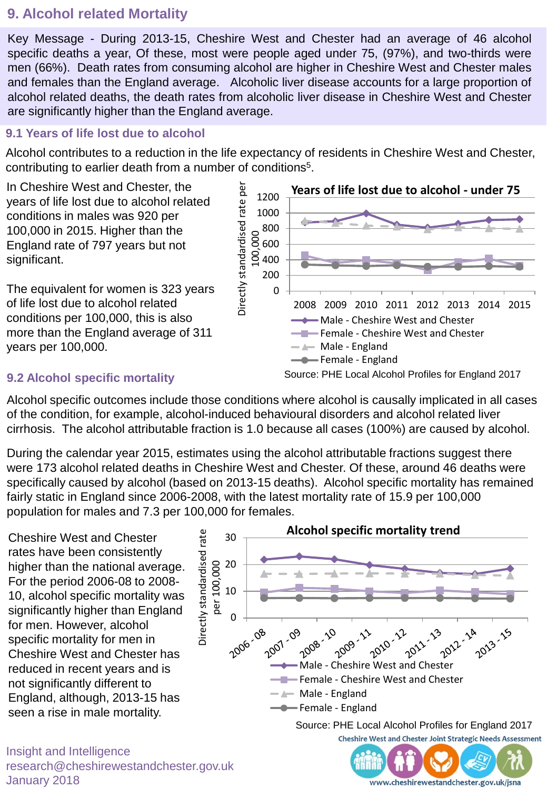## **9. Alcohol related Mortality**

Key Message - During 2013-15, Cheshire West and Chester had an average of 46 alcohol specific deaths a year, Of these, most were people aged under 75, (97%), and two-thirds were men (66%). Death rates from consuming alcohol are higher in Cheshire West and Chester males and females than the England average. Alcoholic liver disease accounts for a large proportion of alcohol related deaths, the death rates from alcoholic liver disease in Cheshire West and Chester are significantly higher than the England average.

#### **9.1 Years of life lost due to alcohol**

Alcohol contributes to a reduction in the life expectancy of residents in Cheshire West and Chester, contributing to earlier death from a number of conditions<sup>5</sup>.

In Cheshire West and Chester, the years of life lost due to alcohol related conditions in males was 920 per 100,000 in 2015. Higher than the England rate of 797 years but not significant.

The equivalent for women is 323 years of life lost due to alcohol related conditions per 100,000, this is also more than the England average of 311 years per 100,000.



#### **9.2 Alcohol specific mortality**

Alcohol specific outcomes include those conditions where alcohol is causally implicated in all cases of the condition, for example, alcohol-induced behavioural disorders and alcohol related liver cirrhosis. The alcohol attributable fraction is 1.0 because all cases (100%) are caused by alcohol.

During the calendar year 2015, estimates using the alcohol attributable fractions suggest there were 173 alcohol related deaths in Cheshire West and Chester. Of these, around 46 deaths were specifically caused by alcohol (based on 2013-15 deaths). Alcohol specific mortality has remained fairly static in England since 2006-2008, with the latest mortality rate of 15.9 per 100,000 population for males and 7.3 per 100,000 for females.

Cheshire West and Chester rates have been consistently higher than the national average. For the period 2006-08 to 2008- 10, alcohol specific mortality was significantly higher than England for men. However, alcohol specific mortality for men in Cheshire West and Chester has reduced in recent years and is not significantly different to England, although, 2013-15 has seen a rise in male mortality.

Insight and Intelligence research@cheshirewestandchester.gov.uk January 2018



www.cheshirewestandchester.gov.uk/jsna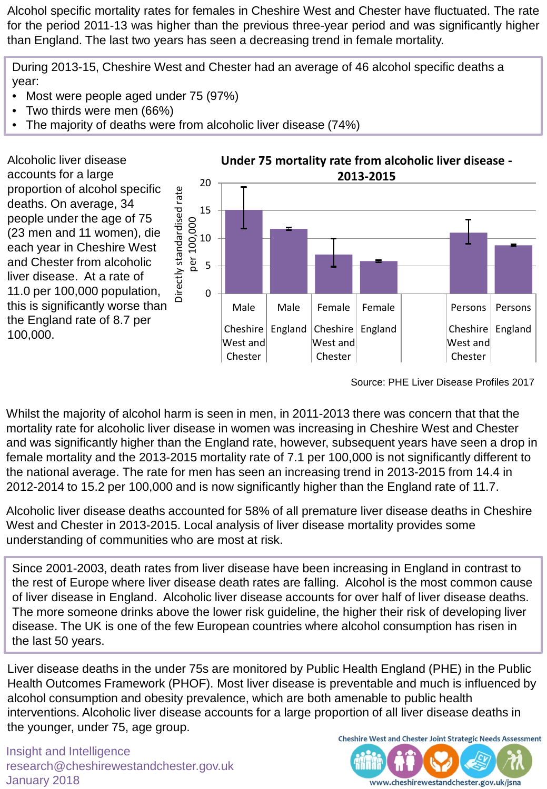Alcohol specific mortality rates for females in Cheshire West and Chester have fluctuated. The rate for the period 2011-13 was higher than the previous three-year period and was significantly higher than England. The last two years has seen a decreasing trend in female mortality.

During 2013-15, Cheshire West and Chester had an average of 46 alcohol specific deaths a year:

- Most were people aged under 75 (97%)
- Two thirds were men (66%)
- The majority of deaths were from alcoholic liver disease (74%)



Source: PHE Liver Disease Profiles 2017

Whilst the majority of alcohol harm is seen in men, in 2011-2013 there was concern that that the mortality rate for alcoholic liver disease in women was increasing in Cheshire West and Chester and was significantly higher than the England rate, however, subsequent years have seen a drop in female mortality and the 2013-2015 mortality rate of 7.1 per 100,000 is not significantly different to the national average. The rate for men has seen an increasing trend in 2013-2015 from 14.4 in 2012-2014 to 15.2 per 100,000 and is now significantly higher than the England rate of 11.7.

Alcoholic liver disease deaths accounted for 58% of all premature liver disease deaths in Cheshire West and Chester in 2013-2015. Local analysis of liver disease mortality provides some understanding of communities who are most at risk.

Since 2001-2003, death rates from liver disease have been increasing in England in contrast to the rest of Europe where liver disease death rates are falling. Alcohol is the most common cause of liver disease in England. Alcoholic liver disease accounts for over half of liver disease deaths. The more someone drinks above the lower risk guideline, the higher their risk of developing liver disease. The UK is one of the few European countries where alcohol consumption has risen in the last 50 years.

Liver disease deaths in the under 75s are monitored by Public Health England (PHE) in the Public Health Outcomes Framework (PHOF). Most liver disease is preventable and much is influenced by alcohol consumption and obesity prevalence, which are both amenable to public health interventions. Alcoholic liver disease accounts for a large proportion of all liver disease deaths in the younger, under 75, age group.

Insight and Intelligence research@cheshirewestandchester.gov.uk January 2018

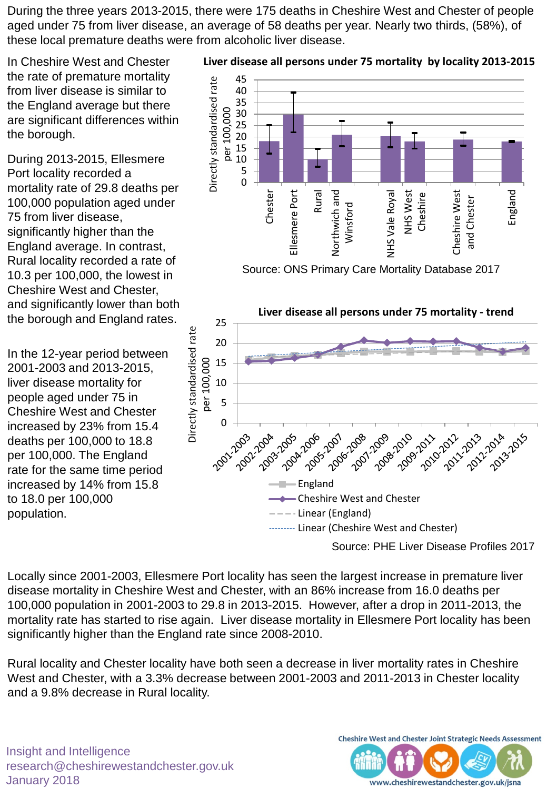During the three years 2013-2015, there were 175 deaths in Cheshire West and Chester of people aged under 75 from liver disease, an average of 58 deaths per year. Nearly two thirds, (58%), of these local premature deaths were from alcoholic liver disease.

In Cheshire West and Chester the rate of premature mortality from liver disease is similar to the England average but there are significant differences within the borough.

During 2013-2015, Ellesmere Port locality recorded a mortality rate of 29.8 deaths per 100,000 population aged under 75 from liver disease, significantly higher than the England average. In contrast, Rural locality recorded a rate of 10.3 per 100,000, the lowest in Cheshire West and Chester, and significantly lower than both the borough and England rates.

In the 12-year period between 2001-2003 and 2013-2015, liver disease mortality for people aged under 75 in Cheshire West and Chester increased by 23% from 15.4 deaths per 100,000 to 18.8 per 100,000. The England rate for the same time period increased by 14% from 15.8 to 18.0 per 100,000 population.





Source: PHE Liver Disease Profiles 2017

Locally since 2001-2003, Ellesmere Port locality has seen the largest increase in premature liver disease mortality in Cheshire West and Chester, with an 86% increase from 16.0 deaths per 100,000 population in 2001-2003 to 29.8 in 2013-2015. However, after a drop in 2011-2013, the mortality rate has started to rise again. Liver disease mortality in Ellesmere Port locality has been significantly higher than the England rate since 2008-2010.

Rural locality and Chester locality have both seen a decrease in liver mortality rates in Cheshire West and Chester, with a 3.3% decrease between 2001-2003 and 2011-2013 in Chester locality and a 9.8% decrease in Rural locality.

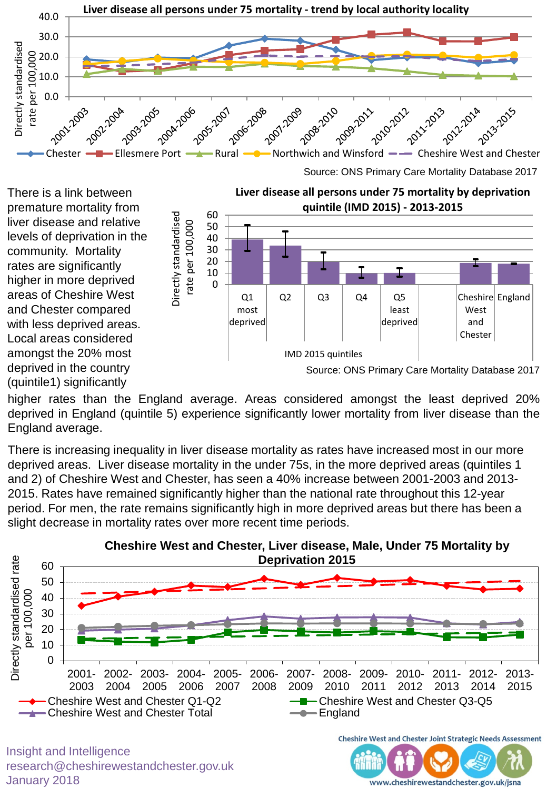

Source: ONS Primary Care Mortality Database 2017

www.cheshirewestandchester.gov.uk/jsna

There is a link between premature mortality from liver disease and relative levels of deprivation in the community. Mortality rates are significantly higher in more deprived areas of Cheshire West and Chester compared with less deprived areas. Local areas considered amongst the 20% most deprived in the country (quintile1) significantly

January 2018



higher rates than the England average. Areas considered amongst the least deprived 20% deprived in England (quintile 5) experience significantly lower mortality from liver disease than the England average.

There is increasing inequality in liver disease mortality as rates have increased most in our more deprived areas. Liver disease mortality in the under 75s, in the more deprived areas (quintiles 1 and 2) of Cheshire West and Chester, has seen a 40% increase between 2001-2003 and 2013- 2015. Rates have remained significantly higher than the national rate throughout this 12-year period. For men, the rate remains significantly high in more deprived areas but there has been a slight decrease in mortality rates over more recent time periods.

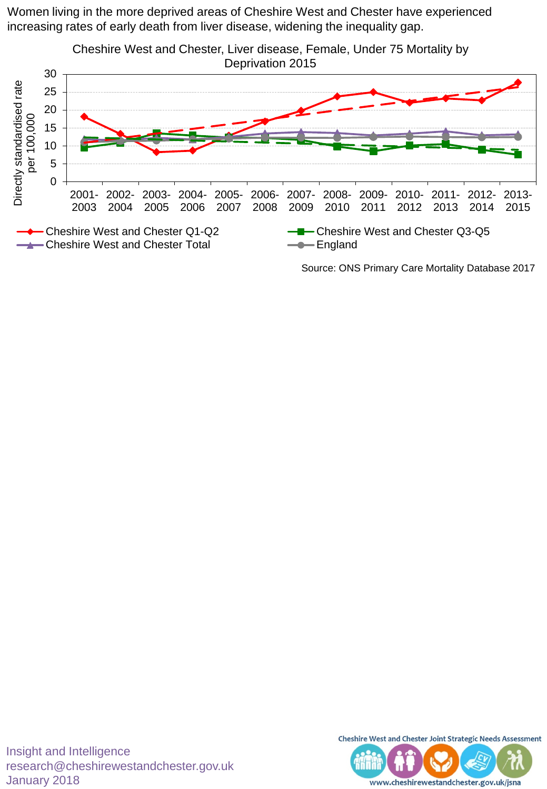Women living in the more deprived areas of Cheshire West and Chester have experienced increasing rates of early death from liver disease, widening the inequality gap.







www.cheshirewestandchester.gov.uk/jsna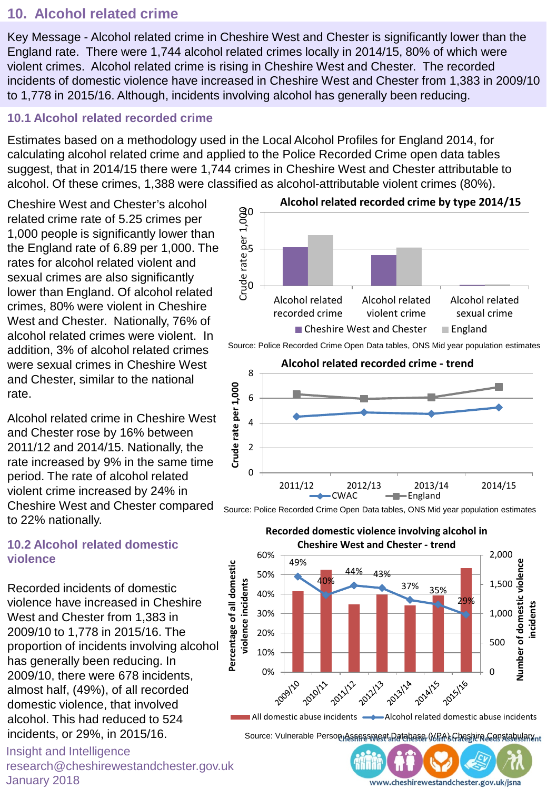## **10. Alcohol related crime**

Key Message - Alcohol related crime in Cheshire West and Chester is significantly lower than the England rate. There were 1,744 alcohol related crimes locally in 2014/15, 80% of which were violent crimes. Alcohol related crime is rising in Cheshire West and Chester. The recorded incidents of domestic violence have increased in Cheshire West and Chester from 1,383 in 2009/10 to 1,778 in 2015/16. Although, incidents involving alcohol has generally been reducing.

#### **10.1 Alcohol related recorded crime**

Estimates based on a methodology used in the Local Alcohol Profiles for England 2014, for calculating alcohol related crime and applied to the Police Recorded Crime open data tables suggest, that in 2014/15 there were 1,744 crimes in Cheshire West and Chester attributable to alcohol. Of these crimes, 1,388 were classified as alcohol-attributable violent crimes (80%).

Cheshire West and Chester's alcohol related crime rate of 5.25 crimes per 1,000 people is significantly lower than the England rate of 6.89 per 1,000. The rates for alcohol related violent and sexual crimes are also significantly lower than England. Of alcohol related crimes, 80% were violent in Cheshire West and Chester. Nationally, 76% of alcohol related crimes were violent. In addition, 3% of alcohol related crimes were sexual crimes in Cheshire West and Chester, similar to the national rate.

Alcohol related crime in Cheshire West and Chester rose by 16% between 2011/12 and 2014/15. Nationally, the rate increased by 9% in the same time period. The rate of alcohol related violent crime increased by 24% in Cheshire West and Chester compared to 22% nationally.

#### **10.2 Alcohol related domestic violence**

Recorded incidents of domestic violence have increased in Cheshire West and Chester from 1,383 in 2009/10 to 1,778 in 2015/16. The proportion of incidents involving alcohol has generally been reducing. In 2009/10, there were 678 incidents, almost half, (49%), of all recorded domestic violence, that involved alcohol. This had reduced to 524 incidents, or 29%, in 2015/16.

Insight and Intelligence research@cheshirewestandchester.gov.uk January 2018



 $CWAC$  ----England Source: Police Recorded Crime Open Data tables, ONS Mid year population estimates

2011/12 2012/13 2013/14 2014/15



Source: Vulnerable Person Assessment Database (VPA) Cheshire Constabulary nt

www.cheshirewestandchester.gov.uk/jsna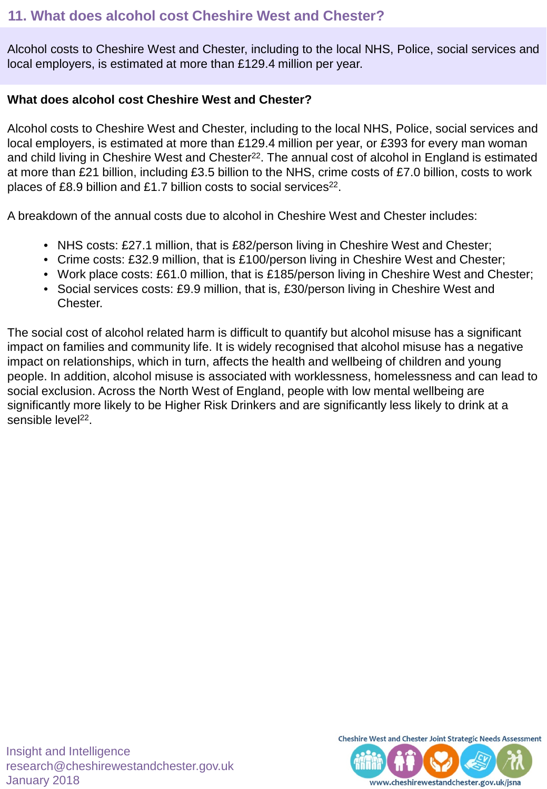## **11. What does alcohol cost Cheshire West and Chester?**

Alcohol costs to Cheshire West and Chester, including to the local NHS, Police, social services and local employers, is estimated at more than £129.4 million per year.

#### **What does alcohol cost Cheshire West and Chester?**

Alcohol costs to Cheshire West and Chester, including to the local NHS, Police, social services and local employers, is estimated at more than £129.4 million per year, or £393 for every man woman and child living in Cheshire West and Chester<sup>22</sup>. The annual cost of alcohol in England is estimated at more than £21 billion, including £3.5 billion to the NHS, crime costs of £7.0 billion, costs to work places of £8.9 billion and £1.7 billion costs to social services<sup>22</sup>.

A breakdown of the annual costs due to alcohol in Cheshire West and Chester includes:

- NHS costs: £27.1 million, that is £82/person living in Cheshire West and Chester;
- Crime costs: £32.9 million, that is £100/person living in Cheshire West and Chester;
- Work place costs: £61.0 million, that is £185/person living in Cheshire West and Chester;
- Social services costs: £9.9 million, that is, £30/person living in Cheshire West and Chester.

The social cost of alcohol related harm is difficult to quantify but alcohol misuse has a significant impact on families and community life. It is widely recognised that alcohol misuse has a negative impact on relationships, which in turn, affects the health and wellbeing of children and young people. In addition, alcohol misuse is associated with worklessness, homelessness and can lead to social exclusion. Across the North West of England, people with low mental wellbeing are significantly more likely to be Higher Risk Drinkers and are significantly less likely to drink at a sensible level<sup>22</sup>.

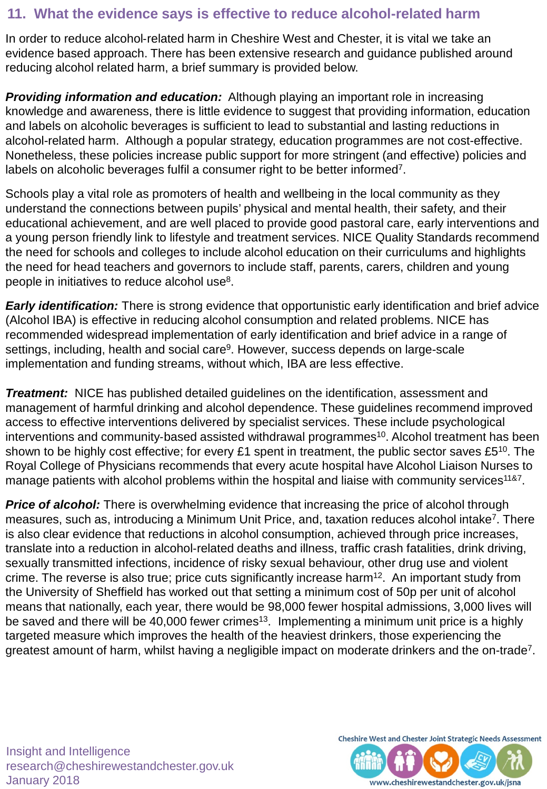## **11. What the evidence says is effective to reduce alcohol-related harm**

In order to reduce alcohol‐related harm in Cheshire West and Chester, it is vital we take an evidence based approach. There has been extensive research and guidance published around reducing alcohol related harm, a brief summary is provided below.

**Providing information and education:** Although playing an important role in increasing knowledge and awareness, there is little evidence to suggest that providing information, education and labels on alcoholic beverages is sufficient to lead to substantial and lasting reductions in alcohol-related harm. Although a popular strategy, education programmes are not cost-effective. Nonetheless, these policies increase public support for more stringent (and effective) policies and labels on alcoholic beverages fulfil a consumer right to be better informed<sup>7</sup>.

Schools play a vital role as promoters of health and wellbeing in the local community as they understand the connections between pupils' physical and mental health, their safety, and their educational achievement, and are well placed to provide good pastoral care, early interventions and a young person friendly link to lifestyle and treatment services. NICE Quality Standards recommend the need for schools and colleges to include alcohol education on their curriculums and highlights the need for head teachers and governors to include staff, parents, carers, children and young people in initiatives to reduce alcohol use<sup>8</sup>.

*Early identification:* There is strong evidence that opportunistic early identification and brief advice (Alcohol IBA) is effective in reducing alcohol consumption and related problems. NICE has recommended widespread implementation of early identification and brief advice in a range of settings, including, health and social care<sup>9</sup>. However, success depends on large-scale implementation and funding streams, without which, IBA are less effective.

*Treatment:* NICE has published detailed guidelines on the identification, assessment and management of harmful drinking and alcohol dependence. These guidelines recommend improved access to effective interventions delivered by specialist services. These include psychological interventions and community-based assisted withdrawal programmes<sup>10</sup>. Alcohol treatment has been shown to be highly cost effective; for every £1 spent in treatment, the public sector saves £5<sup>10</sup>. The Royal College of Physicians recommends that every acute hospital have Alcohol Liaison Nurses to manage patients with alcohol problems within the hospital and liaise with community services<sup>11&7</sup>.

**Price of alcohol:** There is overwhelming evidence that increasing the price of alcohol through measures, such as, introducing a Minimum Unit Price, and, taxation reduces alcohol intake7. There is also clear evidence that reductions in alcohol consumption, achieved through price increases, translate into a reduction in alcohol‐related deaths and illness, traffic crash fatalities, drink driving, sexually transmitted infections, incidence of risky sexual behaviour, other drug use and violent crime. The reverse is also true; price cuts significantly increase harm<sup>12</sup>. An important study from the University of Sheffield has worked out that setting a minimum cost of 50p per unit of alcohol means that nationally, each year, there would be 98,000 fewer hospital admissions, 3,000 lives will be saved and there will be 40,000 fewer crimes<sup>13</sup>. Implementing a minimum unit price is a highly targeted measure which improves the health of the heaviest drinkers, those experiencing the greatest amount of harm, whilst having a negligible impact on moderate drinkers and the on-trade7.

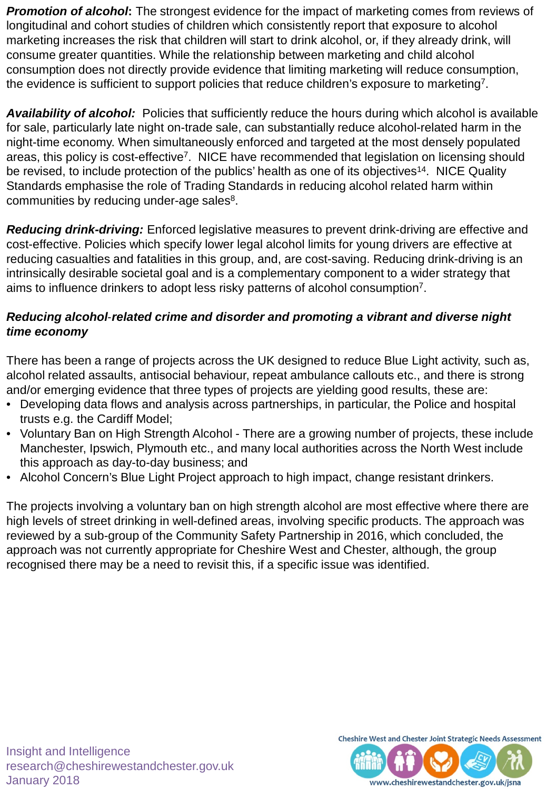**Promotion of alcohol:** The strongest evidence for the impact of marketing comes from reviews of longitudinal and cohort studies of children which consistently report that exposure to alcohol marketing increases the risk that children will start to drink alcohol, or, if they already drink, will consume greater quantities. While the relationship between marketing and child alcohol consumption does not directly provide evidence that limiting marketing will reduce consumption, the evidence is sufficient to support policies that reduce children's exposure to marketing<sup>7</sup>.

*Availability of alcohol:* Policies that sufficiently reduce the hours during which alcohol is available for sale, particularly late night on-trade sale, can substantially reduce alcohol-related harm in the night-time economy. When simultaneously enforced and targeted at the most densely populated areas, this policy is cost-effective<sup>7</sup>. NICE have recommended that legislation on licensing should be revised, to include protection of the publics' health as one of its objectives<sup>14</sup>. NICE Quality Standards emphasise the role of Trading Standards in reducing alcohol related harm within communities by reducing under-age sales<sup>8</sup>.

*Reducing drink-driving:* Enforced legislative measures to prevent drink-driving are effective and cost-effective. Policies which specify lower legal alcohol limits for young drivers are effective at reducing casualties and fatalities in this group, and, are cost-saving. Reducing drink-driving is an intrinsically desirable societal goal and is a complementary component to a wider strategy that aims to influence drinkers to adopt less risky patterns of alcohol consumption7.

#### *Reducing alcohol*‐*related crime and disorder and promoting a vibrant and diverse night time economy*

There has been a range of projects across the UK designed to reduce Blue Light activity, such as, alcohol related assaults, antisocial behaviour, repeat ambulance callouts etc., and there is strong and/or emerging evidence that three types of projects are yielding good results, these are:

- Developing data flows and analysis across partnerships, in particular, the Police and hospital trusts e.g. the Cardiff Model;
- Voluntary Ban on High Strength Alcohol There are a growing number of projects, these include Manchester, Ipswich, Plymouth etc., and many local authorities across the North West include this approach as day-to-day business; and
- Alcohol Concern's Blue Light Project approach to high impact, change resistant drinkers.

The projects involving a voluntary ban on high strength alcohol are most effective where there are high levels of street drinking in well-defined areas, involving specific products. The approach was reviewed by a sub-group of the Community Safety Partnership in 2016, which concluded, the approach was not currently appropriate for Cheshire West and Chester, although, the group recognised there may be a need to revisit this, if a specific issue was identified.

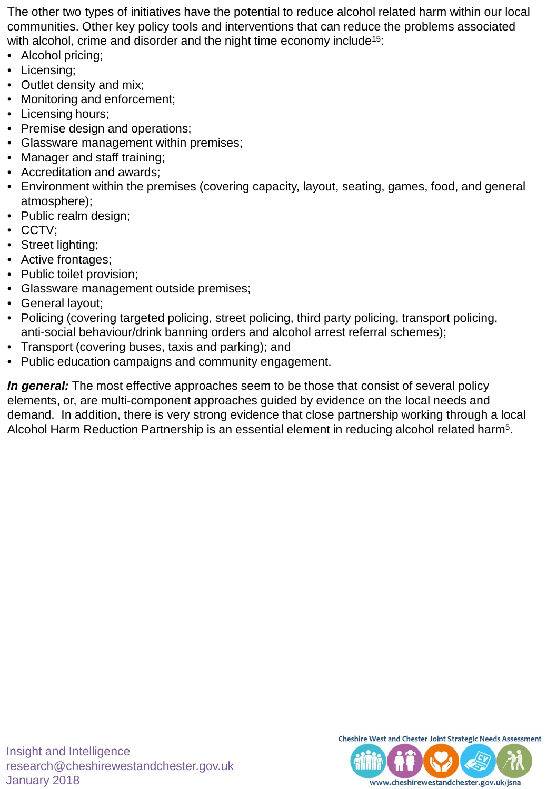The other two types of initiatives have the potential to reduce alcohol related harm within our local communities. Other key policy tools and interventions that can reduce the problems associated with alcohol, crime and disorder and the night time economy include<sup>15</sup>:

- Alcohol pricing;
- Licensing;
- Outlet density and mix;
- Monitoring and enforcement;
- Licensing hours;
- Premise design and operations;
- Glassware management within premises;
- Manager and staff training;
- Accreditation and awards;
- Environment within the premises (covering capacity, layout, seating, games, food, and general atmosphere);
- Public realm design;
- CCTV;
- Street lighting;
- Active frontages;
- Public toilet provision;
- Glassware management outside premises;
- General layout;
- Policing (covering targeted policing, street policing, third party policing, transport policing, anti-social behaviour/drink banning orders and alcohol arrest referral schemes);
- Transport (covering buses, taxis and parking); and
- Public education campaigns and community engagement.

*In general:* The most effective approaches seem to be those that consist of several policy elements, or, are multi-component approaches guided by evidence on the local needs and demand. In addition, there is very strong evidence that close partnership working through a local Alcohol Harm Reduction Partnership is an essential element in reducing alcohol related harm5.

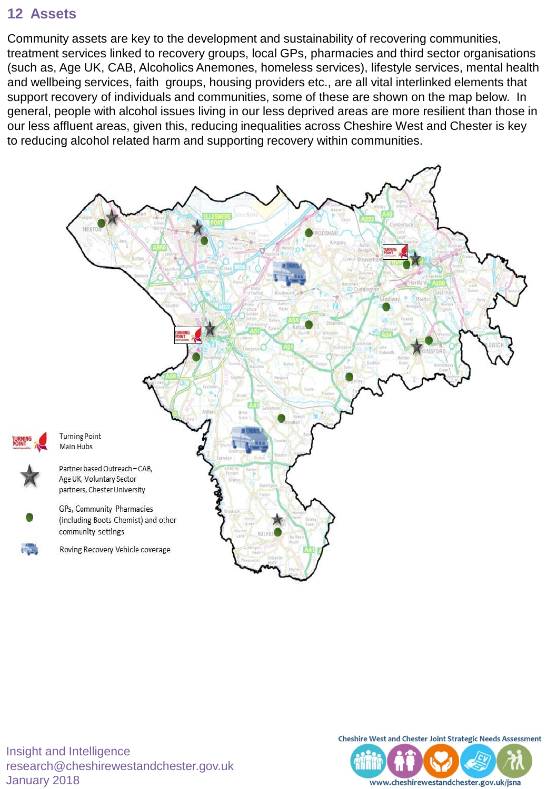## **12 Assets**

Community assets are key to the development and sustainability of recovering communities, treatment services linked to recovery groups, local GPs, pharmacies and third sector organisations (such as, Age UK, CAB, Alcoholics Anemones, homeless services), lifestyle services, mental health and wellbeing services, faith groups, housing providers etc., are all vital interlinked elements that support recovery of individuals and communities, some of these are shown on the map below. In general, people with alcohol issues living in our less deprived areas are more resilient than those in our less affluent areas, given this, reducing inequalities across Cheshire West and Chester is key to reducing alcohol related harm and supporting recovery within communities.



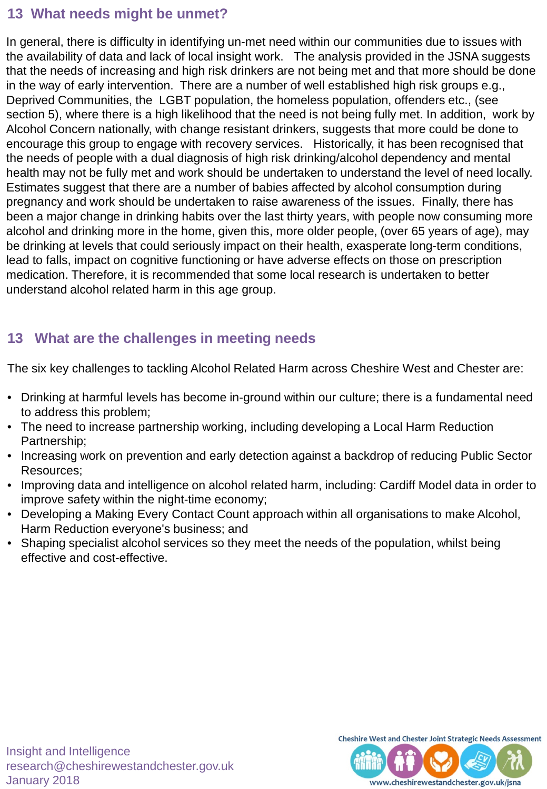## **13 What needs might be unmet?**

In general, there is difficulty in identifying un-met need within our communities due to issues with the availability of data and lack of local insight work. The analysis provided in the JSNA suggests that the needs of increasing and high risk drinkers are not being met and that more should be done in the way of early intervention. There are a number of well established high risk groups e.g., Deprived Communities, the LGBT population, the homeless population, offenders etc., (see section 5), where there is a high likelihood that the need is not being fully met. In addition, work by Alcohol Concern nationally, with change resistant drinkers, suggests that more could be done to encourage this group to engage with recovery services. Historically, it has been recognised that the needs of people with a dual diagnosis of high risk drinking/alcohol dependency and mental health may not be fully met and work should be undertaken to understand the level of need locally. Estimates suggest that there are a number of babies affected by alcohol consumption during pregnancy and work should be undertaken to raise awareness of the issues. Finally, there has been a major change in drinking habits over the last thirty years, with people now consuming more alcohol and drinking more in the home, given this, more older people, (over 65 years of age), may be drinking at levels that could seriously impact on their health, exasperate long-term conditions, lead to falls, impact on cognitive functioning or have adverse effects on those on prescription medication. Therefore, it is recommended that some local research is undertaken to better understand alcohol related harm in this age group.

## **13 What are the challenges in meeting needs**

The six key challenges to tackling Alcohol Related Harm across Cheshire West and Chester are:

- Drinking at harmful levels has become in-ground within our culture; there is a fundamental need to address this problem;
- The need to increase partnership working, including developing a Local Harm Reduction Partnership;
- Increasing work on prevention and early detection against a backdrop of reducing Public Sector Resources;
- Improving data and intelligence on alcohol related harm, including: Cardiff Model data in order to improve safety within the night-time economy;
- Developing a Making Every Contact Count approach within all organisations to make Alcohol, Harm Reduction everyone's business; and
- Shaping specialist alcohol services so they meet the needs of the population, whilst being effective and cost-effective.

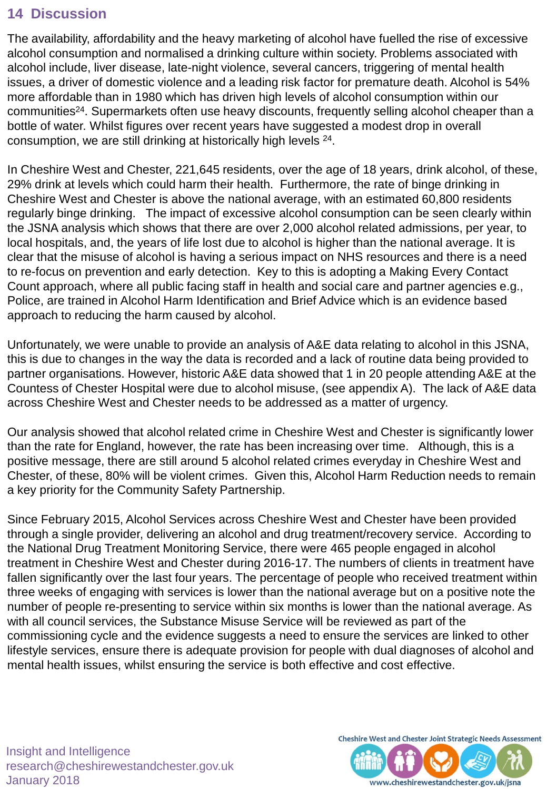## **14 Discussion**

The availability, affordability and the heavy marketing of alcohol have fuelled the rise of excessive alcohol consumption and normalised a drinking culture within society. Problems associated with alcohol include, liver disease, late-night violence, several cancers, triggering of mental health issues, a driver of domestic violence and a leading risk factor for premature death. Alcohol is 54% more affordable than in 1980 which has driven high levels of alcohol consumption within our communities<sup>24</sup>. Supermarkets often use heavy discounts, frequently selling alcohol cheaper than a bottle of water. Whilst figures over recent years have suggested a modest drop in overall consumption, we are still drinking at historically high levels  $24$ .

In Cheshire West and Chester, 221,645 residents, over the age of 18 years, drink alcohol, of these, 29% drink at levels which could harm their health. Furthermore, the rate of binge drinking in Cheshire West and Chester is above the national average, with an estimated 60,800 residents regularly binge drinking. The impact of excessive alcohol consumption can be seen clearly within the JSNA analysis which shows that there are over 2,000 alcohol related admissions, per year, to local hospitals, and, the years of life lost due to alcohol is higher than the national average. It is clear that the misuse of alcohol is having a serious impact on NHS resources and there is a need to re-focus on prevention and early detection. Key to this is adopting a Making Every Contact Count approach, where all public facing staff in health and social care and partner agencies e.g., Police, are trained in Alcohol Harm Identification and Brief Advice which is an evidence based approach to reducing the harm caused by alcohol.

Unfortunately, we were unable to provide an analysis of A&E data relating to alcohol in this JSNA, this is due to changes in the way the data is recorded and a lack of routine data being provided to partner organisations. However, historic A&E data showed that 1 in 20 people attending A&E at the Countess of Chester Hospital were due to alcohol misuse, (see appendix A). The lack of A&E data across Cheshire West and Chester needs to be addressed as a matter of urgency.

Our analysis showed that alcohol related crime in Cheshire West and Chester is significantly lower than the rate for England, however, the rate has been increasing over time. Although, this is a positive message, there are still around 5 alcohol related crimes everyday in Cheshire West and Chester, of these, 80% will be violent crimes. Given this, Alcohol Harm Reduction needs to remain a key priority for the Community Safety Partnership.

Since February 2015, Alcohol Services across Cheshire West and Chester have been provided through a single provider, delivering an alcohol and drug treatment/recovery service. According to the National Drug Treatment Monitoring Service, there were 465 people engaged in alcohol treatment in Cheshire West and Chester during 2016-17. The numbers of clients in treatment have fallen significantly over the last four years. The percentage of people who received treatment within three weeks of engaging with services is lower than the national average but on a positive note the number of people re-presenting to service within six months is lower than the national average. As with all council services, the Substance Misuse Service will be reviewed as part of the commissioning cycle and the evidence suggests a need to ensure the services are linked to other lifestyle services, ensure there is adequate provision for people with dual diagnoses of alcohol and mental health issues, whilst ensuring the service is both effective and cost effective.

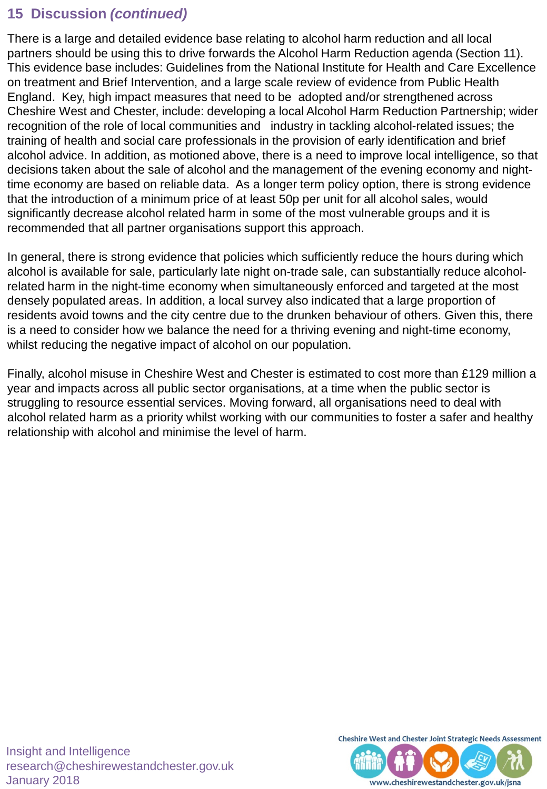## **15 Discussion** *(continued)*

There is a large and detailed evidence base relating to alcohol harm reduction and all local partners should be using this to drive forwards the Alcohol Harm Reduction agenda (Section 11). This evidence base includes: Guidelines from the National Institute for Health and Care Excellence on treatment and Brief Intervention, and a large scale review of evidence from Public Health England. Key, high impact measures that need to be adopted and/or strengthened across Cheshire West and Chester, include: developing a local Alcohol Harm Reduction Partnership; wider recognition of the role of local communities and industry in tackling alcohol-related issues; the training of health and social care professionals in the provision of early identification and brief alcohol advice. In addition, as motioned above, there is a need to improve local intelligence, so that decisions taken about the sale of alcohol and the management of the evening economy and nighttime economy are based on reliable data. As a longer term policy option, there is strong evidence that the introduction of a minimum price of at least 50p per unit for all alcohol sales, would significantly decrease alcohol related harm in some of the most vulnerable groups and it is recommended that all partner organisations support this approach.

In general, there is strong evidence that policies which sufficiently reduce the hours during which alcohol is available for sale, particularly late night on-trade sale, can substantially reduce alcoholrelated harm in the night-time economy when simultaneously enforced and targeted at the most densely populated areas. In addition, a local survey also indicated that a large proportion of residents avoid towns and the city centre due to the drunken behaviour of others. Given this, there is a need to consider how we balance the need for a thriving evening and night-time economy, whilst reducing the negative impact of alcohol on our population.

Finally, alcohol misuse in Cheshire West and Chester is estimated to cost more than £129 million a year and impacts across all public sector organisations, at a time when the public sector is struggling to resource essential services. Moving forward, all organisations need to deal with alcohol related harm as a priority whilst working with our communities to foster a safer and healthy relationship with alcohol and minimise the level of harm.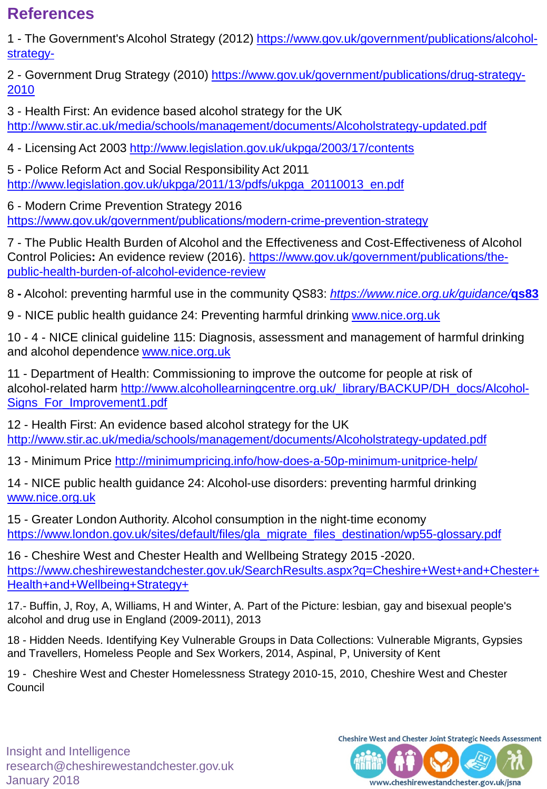## **References**

1 - The Government's Alcohol Strategy (2012) [https://www.gov.uk/government/publications/alcohol](https://www.gov.uk/government/publications/alcohol-strategy-)[strategy-](https://www.gov.uk/government/publications/alcohol-strategy-)

2 - Government Drug Strategy (2010) [https://www.gov.uk/government/publications/drug-strategy-](https://www.gov.uk/government/publications/drug-strategy-2010)[2010](https://www.gov.uk/government/publications/drug-strategy-2010)

3 - Health First: An evidence based alcohol strategy for the UK <http://www.stir.ac.uk/media/schools/management/documents/Alcoholstrategy-updated.pdf>

4 - Licensing Act 2003<http://www.legislation.gov.uk/ukpga/2003/17/contents>

5 - Police Reform Act and Social Responsibility Act 2011 [http://www.legislation.gov.uk/ukpga/2011/13/pdfs/ukpga\\_20110013\\_en.pdf](http://www.legislation.gov.uk/ukpga/2011/13/pdfs/ukpga_20110013_en.pdf)

6 - Modern Crime Prevention Strategy 2016 <https://www.gov.uk/government/publications/modern-crime-prevention-strategy>

7 - The Public Health Burden of Alcohol and the Effectiveness and Cost-Effectiveness of Alcohol Control Policies**:** An evidence review (2016). [https://www.gov.uk/government/publications/the](https://www.gov.uk/government/publications/the-public-health-burden-of-alcohol-evidence-review)[public-health-burden-of-alcohol-evidence-review](https://www.gov.uk/government/publications/the-public-health-burden-of-alcohol-evidence-review)

8 **-** Alcohol: preventing harmful use in the community QS83: *[https://www.nice.org.uk/guidance/](https://www.nice.org.uk/guidance/qs83)***[qs83](https://www.nice.org.uk/guidance/qs83)**

9 - NICE public health guidance 24: Preventing harmful drinking [www.nice.org.uk](http://www.nice.org.uk/)

10 - 4 - NICE clinical guideline 115: Diagnosis, assessment and management of harmful drinking and alcohol dependence [www.nice.org.uk](http://www.nice.org.uk/)

11 - Department of Health: Commissioning to improve the outcome for people at risk of alcohol-related harm [http://www.alcohollearningcentre.org.uk/\\_library/BACKUP/DH\\_docs/Alcohol-](http://www.alcohollearningcentre.org.uk/_library/BACKUP/DH_docs/Alcohol-Signs_For_Improvement1.pdf)[Signs\\_For\\_Improvement1.pdf](http://www.alcohollearningcentre.org.uk/_library/BACKUP/DH_docs/Alcohol-Signs_For_Improvement1.pdf)

12 - Health First: An evidence based alcohol strategy for the UK <http://www.stir.ac.uk/media/schools/management/documents/Alcoholstrategy-updated.pdf>

13 - Minimum Price [http://minimumpricing.info/how](http://minimumpricing.info/how‐does‐a‐50p‐minimum‐unitprice‐help/)[‐](http://minimumpricing.info/how‐does‐a‐50p‐minimum‐unitprice‐help/)[does](http://minimumpricing.info/how‐does‐a‐50p‐minimum‐unitprice‐help/)[‐](http://minimumpricing.info/how‐does‐a‐50p‐minimum‐unitprice‐help/)[a](http://minimumpricing.info/how‐does‐a‐50p‐minimum‐unitprice‐help/)[‐](http://minimumpricing.info/how‐does‐a‐50p‐minimum‐unitprice‐help/)[50p](http://minimumpricing.info/how‐does‐a‐50p‐minimum‐unitprice‐help/)[‐](http://minimumpricing.info/how‐does‐a‐50p‐minimum‐unitprice‐help/)[minimum](http://minimumpricing.info/how‐does‐a‐50p‐minimum‐unitprice‐help/)[‐](http://minimumpricing.info/how‐does‐a‐50p‐minimum‐unitprice‐help/)[unitprice](http://minimumpricing.info/how‐does‐a‐50p‐minimum‐unitprice‐help/)[‐](http://minimumpricing.info/how‐does‐a‐50p‐minimum‐unitprice‐help/)[help/](http://minimumpricing.info/how‐does‐a‐50p‐minimum‐unitprice‐help/)

14 - NICE public health guidance 24: Alcohol‐use disorders: preventing harmful drinking [www.nice.org.uk](http://www.nice.org.uk/)

15 - Greater London Authority. Alcohol consumption in the night‐time economy [https://www.london.gov.uk/sites/default/files/gla\\_migrate\\_files\\_destination/wp55-glossary.pdf](https://www.london.gov.uk/sites/default/files/gla_migrate_files_destination/wp55-glossary.pdf)

16 - Cheshire West and Chester Health and Wellbeing Strategy 2015 -2020. [https://www.cheshirewestandchester.gov.uk/SearchResults.aspx?q=Cheshire+West+and+Chester+](https://www.cheshirewestandchester.gov.uk/SearchResults.aspx?q=Cheshire+West+and+Chester+Health+and+Wellbeing+Strategy+) [Health+and+Wellbeing+Strategy+](https://www.cheshirewestandchester.gov.uk/SearchResults.aspx?q=Cheshire+West+and+Chester+Health+and+Wellbeing+Strategy+)

17.- Buffin, J, Roy, A, Williams, H and Winter, A. Part of the Picture: lesbian, gay and bisexual people's alcohol and drug use in England (2009-2011), 2013

18 - Hidden Needs. Identifying Key Vulnerable Groups in Data Collections: Vulnerable Migrants, Gypsies and Travellers, Homeless People and Sex Workers, 2014, Aspinal, P, University of Kent

19 - Cheshire West and Chester Homelessness Strategy 2010-15, 2010, Cheshire West and Chester **Council** 

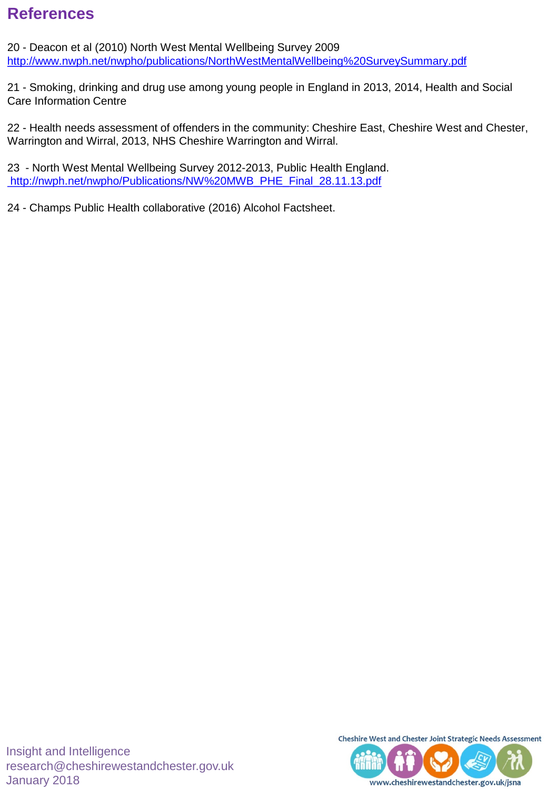## **References**

20 - Deacon et al (2010) North West Mental Wellbeing Survey 2009 [http://www.nwph.net/nwpho/publications/NorthWestMentalWellbeing%20SurveySummary.pdf](http://www.nwph.net/nwpho/publications/NorthWestMentalWellbeing SurveySummary.pdf)

21 - Smoking, drinking and drug use among young people in England in 2013, 2014, Health and Social Care Information Centre

22 - Health needs assessment of offenders in the community: Cheshire East, Cheshire West and Chester, Warrington and Wirral, 2013, NHS Cheshire Warrington and Wirral.

23 - North West Mental Wellbeing Survey 2012-2013, Public Health England. [http://nwph.net/nwpho/Publications/NW%20MWB\\_PHE\\_Final\\_28.11.13.pdf](http://nwph.net/nwpho/Publications/NW MWB_PHE_Final_28.11.13.pdf)

24 - Champs Public Health collaborative (2016) Alcohol Factsheet.

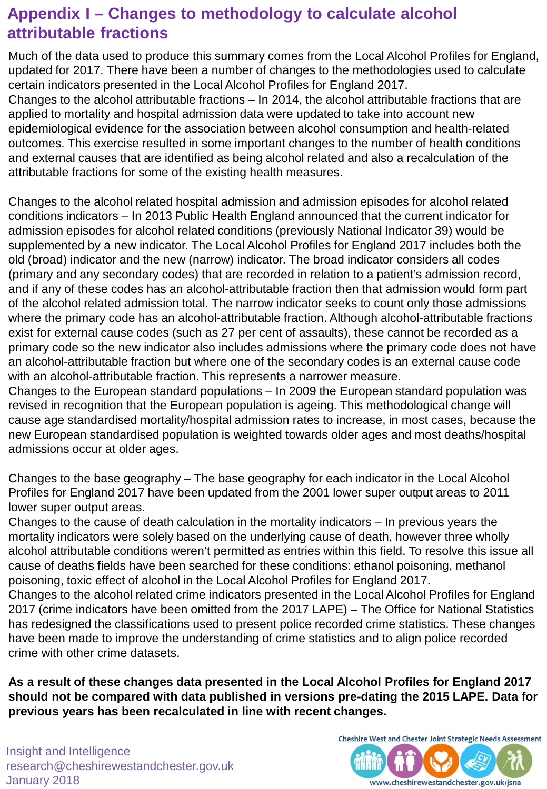## **Appendix I – Changes to methodology to calculate alcohol attributable fractions**

Much of the data used to produce this summary comes from the Local Alcohol Profiles for England, updated for 2017. There have been a number of changes to the methodologies used to calculate certain indicators presented in the Local Alcohol Profiles for England 2017.

Changes to the alcohol attributable fractions – In 2014, the alcohol attributable fractions that are applied to mortality and hospital admission data were updated to take into account new epidemiological evidence for the association between alcohol consumption and health-related outcomes. This exercise resulted in some important changes to the number of health conditions and external causes that are identified as being alcohol related and also a recalculation of the attributable fractions for some of the existing health measures.

Changes to the alcohol related hospital admission and admission episodes for alcohol related conditions indicators – In 2013 Public Health England announced that the current indicator for admission episodes for alcohol related conditions (previously National Indicator 39) would be supplemented by a new indicator. The Local Alcohol Profiles for England 2017 includes both the old (broad) indicator and the new (narrow) indicator. The broad indicator considers all codes (primary and any secondary codes) that are recorded in relation to a patient's admission record, and if any of these codes has an alcohol-attributable fraction then that admission would form part of the alcohol related admission total. The narrow indicator seeks to count only those admissions where the primary code has an alcohol-attributable fraction. Although alcohol-attributable fractions exist for external cause codes (such as 27 per cent of assaults), these cannot be recorded as a primary code so the new indicator also includes admissions where the primary code does not have an alcohol-attributable fraction but where one of the secondary codes is an external cause code with an alcohol-attributable fraction. This represents a narrower measure.

Changes to the European standard populations – In 2009 the European standard population was revised in recognition that the European population is ageing. This methodological change will cause age standardised mortality/hospital admission rates to increase, in most cases, because the new European standardised population is weighted towards older ages and most deaths/hospital admissions occur at older ages.

Changes to the base geography – The base geography for each indicator in the Local Alcohol Profiles for England 2017 have been updated from the 2001 lower super output areas to 2011 lower super output areas.

Changes to the cause of death calculation in the mortality indicators – In previous years the mortality indicators were solely based on the underlying cause of death, however three wholly alcohol attributable conditions weren't permitted as entries within this field. To resolve this issue all cause of deaths fields have been searched for these conditions: ethanol poisoning, methanol poisoning, toxic effect of alcohol in the Local Alcohol Profiles for England 2017.

Changes to the alcohol related crime indicators presented in the Local Alcohol Profiles for England 2017 (crime indicators have been omitted from the 2017 LAPE) – The Office for National Statistics has redesigned the classifications used to present police recorded crime statistics. These changes have been made to improve the understanding of crime statistics and to align police recorded crime with other crime datasets.

**As a result of these changes data presented in the Local Alcohol Profiles for England 2017 should not be compared with data published in versions pre-dating the 2015 LAPE. Data for previous years has been recalculated in line with recent changes.**

Insight and Intelligence research@cheshirewestandchester.gov.uk January 2018

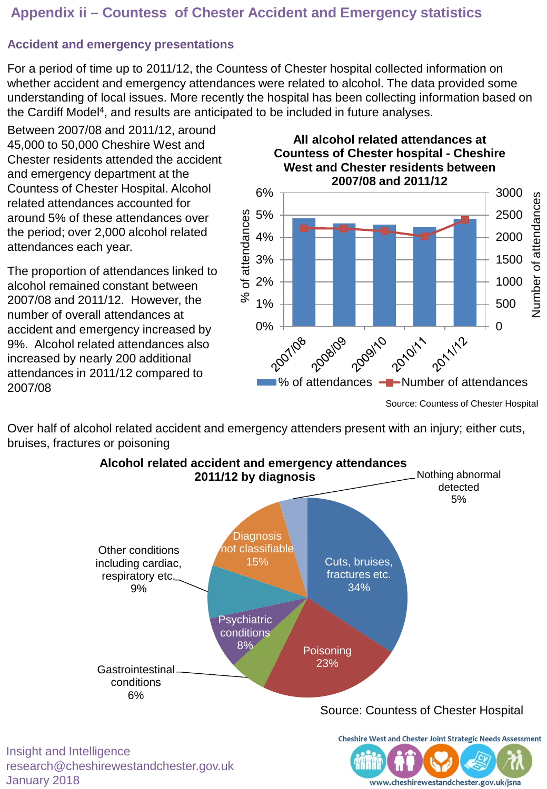## **Appendix ii – Countess of Chester Accident and Emergency statistics**

### **Accident and emergency presentations**

For a period of time up to 2011/12, the Countess of Chester hospital collected information on whether accident and emergency attendances were related to alcohol. The data provided some understanding of local issues. More recently the hospital has been collecting information based on the Cardiff Model<sup>4</sup>, and results are anticipated to be included in future analyses.

Between 2007/08 and 2011/12, around 45,000 to 50,000 Cheshire West and Chester residents attended the accident and emergency department at the Countess of Chester Hospital. Alcohol related attendances accounted for around 5% of these attendances over the period; over 2,000 alcohol related attendances each year.

The proportion of attendances linked to alcohol remained constant between 2007/08 and 2011/12. However, the number of overall attendances at accident and emergency increased by 9%. Alcohol related attendances also increased by nearly 200 additional attendances in 2011/12 compared to 2007/08

**All alcohol related attendances at Countess of Chester hospital - Cheshire West and Chester residents between 2007/08 and 2011/12**



Source: Countess of Chester Hospital

www.cheshirewestandchester.gov.uk/jsna

Over half of alcohol related accident and emergency attenders present with an injury; either cuts, bruises, fractures or poisoning



research@cheshirewestandchester.gov.uk January 2018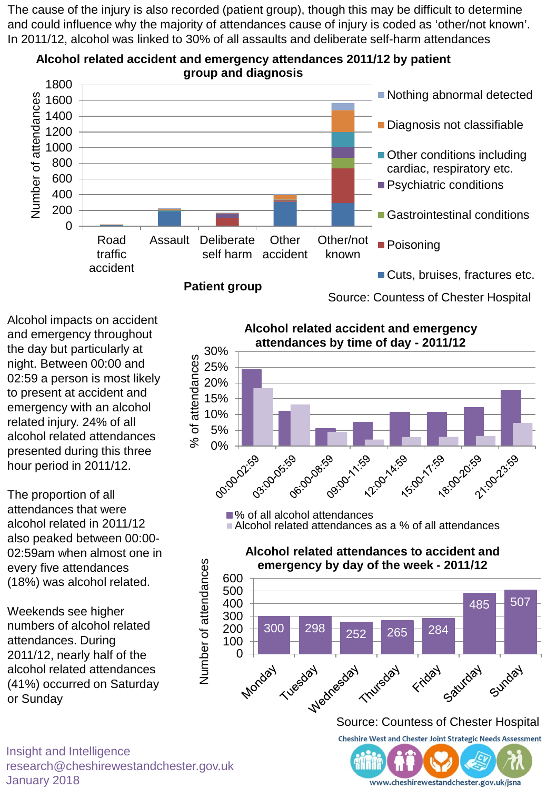The cause of the injury is also recorded (patient group), though this may be difficult to determine and could influence why the majority of attendances cause of injury is coded as 'other/not known'. In 2011/12, alcohol was linked to 30% of all assaults and deliberate self-harm attendances



#### **Alcohol related accident and emergency attendances 2011/12 by patient group and diagnosis**

Source: Countess of Chester Hospital

www.cheshirewestandchester.gov.uk/jsna

Alcohol impacts on accident and emergency throughout the day but particularly at night. Between 00:00 and 02:59 a person is most likely to present at accident and emergency with an alcohol related injury. 24% of all alcohol related attendances presented during this three hour period in 2011/12.

The proportion of all attendances that were alcohol related in 2011/12 also peaked between 00:00- 02:59am when almost one in every five attendances (18%) was alcohol related.

Weekends see higher numbers of alcohol related attendances. During 2011/12, nearly half of the alcohol related attendances (41%) occurred on Saturday or Sunday

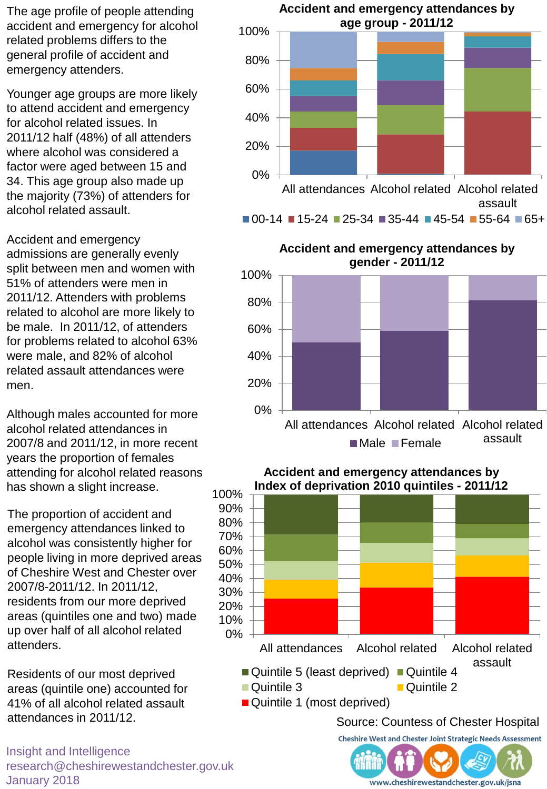The age profile of people attending accident and emergency for alcohol related problems differs to the general profile of accident and emergency attenders.

Younger age groups are more likely to attend accident and emergency for alcohol related issues. In 2011/12 half (48%) of all attenders where alcohol was considered a factor were aged between 15 and 34. This age group also made up the majority (73%) of attenders for alcohol related assault.

Accident and emergency admissions are generally evenly split between men and women with 51% of attenders were men in 2011/12. Attenders with problems related to alcohol are more likely to be male. In 2011/12, of attenders for problems related to alcohol 63% were male, and 82% of alcohol related assault attendances were men.

Although males accounted for more alcohol related attendances in 2007/8 and 2011/12, in more recent years the proportion of females attending for alcohol related reasons has shown a slight increase.

The proportion of accident and emergency attendances linked to alcohol was consistently higher for people living in more deprived areas of Cheshire West and Chester over 2007/8-2011/12. In 2011/12, residents from our more deprived areas (quintiles one and two) made up over half of all alcohol related attenders.

Residents of our most deprived areas (quintile one) accounted for 41% of all alcohol related assault attendances in 2011/12.

0% 20% 40% 60% 80% 100% All attendances Alcohol related Alcohol related assault **Accident and emergency attendances by age group - 2011/12**  $\blacksquare$ 00-14  $\blacksquare$ 15-24  $\blacksquare$ 25-34  $\blacksquare$ 35-44  $\blacksquare$ 45-54  $\blacksquare$ 55-64  $\blacksquare$ 65+









Source: Countess of Chester Hospital

Cheshire West and Chester Joint Strategic Needs Assessment

Insight and Intelligence research@cheshirewestandchester.gov.uk January 2018

# www.cheshirewestandchester.gov.uk/jsna